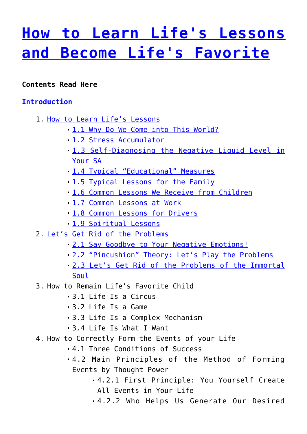# **[How to Learn Life's Lessons](http://sviyash.org/books/how-to-learn-lifes-lessons-and-become-lifes-favorite/) [and Become Life's Favorite](http://sviyash.org/books/how-to-learn-lifes-lessons-and-become-lifes-favorite/)**

# **Contents Read Here**

# **[Introduction](http://sviyash.org/books/how-to-learn-lifes-lessons-and-become-lifes-favorite/2/)**

- 1. [How to Learn Life's Lessons](http://sviyash.org/books/how-to-learn-lifes-lessons-and-become-lifes-favorite/3/)
	- [1.1 Why Do We Come into This World?](http://sviyash.org/books/how-to-learn-lifes-lessons-and-become-lifes-favorite/4/)
	- [1.2 Stress Accumulator](http://sviyash.org/books/how-to-learn-lifes-lessons-and-become-lifes-favorite/5/)
	- [1.3 Self-Diagnosing the Negative Liquid Level in](http://sviyash.org/books/how-to-learn-lifes-lessons-and-become-lifes-favorite/6/) [Your SA](http://sviyash.org/books/how-to-learn-lifes-lessons-and-become-lifes-favorite/6/)
	- [1.4 Typical "Educational" Measures](http://sviyash.org/books/how-to-learn-lifes-lessons-and-become-lifes-favorite/7/)
	- [1.5 Typical Lessons for the Family](http://sviyash.org/books/how-to-learn-lifes-lessons-and-become-lifes-favorite/8/)
	- [1.6 Common Lessons We Receive from Children](http://sviyash.org/books/how-to-learn-lifes-lessons-and-become-lifes-favorite/9/)
	- [1.7 Common Lessons at Work](http://sviyash.org/books/how-to-learn-lifes-lessons-and-become-lifes-favorite/10/)
	- [1.8 Common Lessons for Drivers](http://sviyash.org/books/how-to-learn-lifes-lessons-and-become-lifes-favorite/11/)
	- [1.9 Spiritual Lessons](http://sviyash.org/books/how-to-learn-lifes-lessons-and-become-lifes-favorite/12/)
- 2. [Let's Get Rid of the Problems](http://sviyash.org/books/how-to-learn-lifes-lessons-and-become-lifes-favorite/13/)
	- [2.1 Say Goodbye to Your Negative Emotions!](http://sviyash.org/books/how-to-learn-lifes-lessons-and-become-lifes-favorite/14/)
	- [2.2 "Pincushion" Theory: Let's Play the Problems](http://sviyash.org/books/how-to-learn-lifes-lessons-and-become-lifes-favorite/15/)
	- [2.3 Let's Get Rid of the Problems of the Immortal](http://sviyash.org/books/how-to-learn-lifes-lessons-and-become-lifes-favorite/16/) [Soul](http://sviyash.org/books/how-to-learn-lifes-lessons-and-become-lifes-favorite/16/)
- 3. How to Remain Life's Favorite Child
	- 3.1 Life Is a Circus
	- 3.2 Life Is a Game
	- 3.3 Life Is a Complex Mechanism
	- 3.4 Life Is What I Want
- 4. How to Correctly Form the Events of your Life
	- 4.1 Three Conditions of Success
	- 4.2 Main Principles of the Method of Forming Events by Thought Power
		- 4.2.1 First Principle: You Yourself Create All Events in Your Life
		- 4.2.2 Who Helps Us Generate Our Desired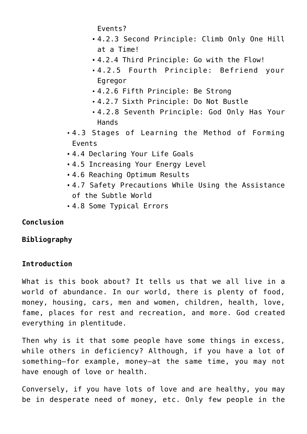Events?

- 4.2.3 Second Principle: Climb Only One Hill at a Time!
- 4.2.4 Third Principle: Go with the Flow!
- 4.2.5 Fourth Principle: Befriend your Egregor
- 4.2.6 Fifth Principle: Be Strong
- 4.2.7 Sixth Principle: Do Not Bustle
- 4.2.8 Seventh Principle: God Only Has Your Hands
- 4.3 Stages of Learning the Method of Forming Events
- 4.4 Declaring Your Life Goals
- 4.5 Increasing Your Energy Level
- 4.6 Reaching Optimum Results
- 4.7 Safety Precautions While Using the Assistance of the Subtle World
- 4.8 Some Typical Errors

# **Conclusion**

# **Bibliography**

# **Introduction**

What is this book about? It tells us that we all live in a world of abundance. In our world, there is plenty of food, money, housing, cars, men and women, children, health, love, fame, places for rest and recreation, and more. God created everything in plentitude.

Then why is it that some people have some things in excess, while others in deficiency? Although, if you have a lot of something—for example, money—at the same time, you may not have enough of love or health.

Conversely, if you have lots of love and are healthy, you may be in desperate need of money, etc. Only few people in the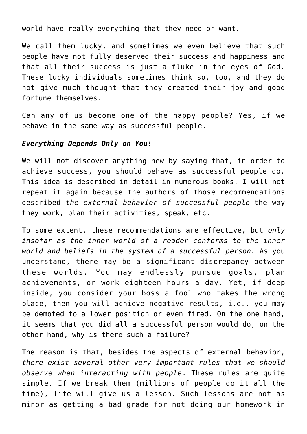world have really everything that they need or want.

We call them lucky, and sometimes we even believe that such people have not fully deserved their success and happiness and that all their success is just a fluke in the eyes of God. These lucky individuals sometimes think so, too, and they do not give much thought that they created their joy and good fortune themselves.

Can any of us become one of the happy people? Yes, if we behave in the same way as successful people.

#### *Everything Depends Only on You!*

We will not discover anything new by saying that, in order to achieve success, you should behave as successful people do. This idea is described in detail in numerous books. I will not repeat it again because the authors of those recommendations described *the external behavior of successful people*—the way they work, plan their activities, speak, etc.

To some extent, these recommendations are effective, but *only insofar as the inner world of a reader conforms to the inner world and beliefs in the system of a successful person.* As you understand, there may be a significant discrepancy between these worlds. You may endlessly pursue goals, plan achievements, or work eighteen hours a day. Yet, if deep inside, you consider your boss a fool who takes the wrong place, then you will achieve negative results, i.e., you may be demoted to a lower position or even fired. On the one hand, it seems that you did all a successful person would do; on the other hand, why is there such a failure?

The reason is that, besides the aspects of external behavior, *there exist several other very important rules that we should observe when interacting with people*. These rules are quite simple. If we break them (millions of people do it all the time), life will give us a lesson. Such lessons are not as minor as getting a bad grade for not doing our homework in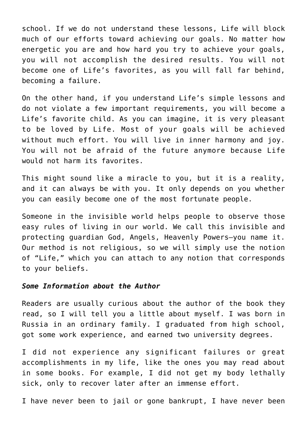school. If we do not understand these lessons, Life will block much of our efforts toward achieving our goals. No matter how energetic you are and how hard you try to achieve your goals, you will not accomplish the desired results. You will not become one of Life's favorites, as you will fall far behind, becoming a failure.

On the other hand, if you understand Life's simple lessons and do not violate a few important requirements, you will become a Life's favorite child. As you can imagine, it is very pleasant to be loved by Life. Most of your goals will be achieved without much effort. You will live in inner harmony and joy. You will not be afraid of the future anymore because Life would not harm its favorites.

This might sound like a miracle to you, but it is a reality, and it can always be with you. It only depends on you whether you can easily become one of the most fortunate people.

Someone in the invisible world helps people to observe those easy rules of living in our world. We call this invisible and protecting guardian God, Angels, Heavenly Powers—you name it. Our method is not religious, so we will simply use the notion of "Life," which you can attach to any notion that corresponds to your beliefs.

#### *Some Information about the Author*

Readers are usually curious about the author of the book they read, so I will tell you a little about myself. I was born in Russia in an ordinary family. I graduated from high school, got some work experience, and earned two university degrees.

I did not experience any significant failures or great accomplishments in my life, like the ones you may read about in some books. For example, I did not get my body lethally sick, only to recover later after an immense effort.

I have never been to jail or gone bankrupt, I have never been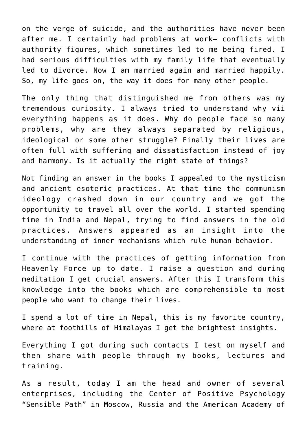on the verge of suicide, and the authorities have never been after me. I certainly had problems at work— conflicts with authority figures, which sometimes led to me being fired. I had serious difficulties with my family life that eventually led to divorce. Now I am married again and married happily. So, my life goes on, the way it does for many other people.

The only thing that distinguished me from others was my tremendous curiosity. I always tried to understand why vii everything happens as it does. Why do people face so many problems, why are they always separated by religious, ideological or some other struggle? Finally their lives are often full with suffering and dissatisfaction instead of joy and harmony. Is it actually the right state of things?

Not finding an answer in the books I appealed to the mysticism and ancient esoteric practices. At that time the communism ideology crashed down in our country and we got the opportunity to travel all over the world. I started spending time in India and Nepal, trying to find answers in the old practices. Answers appeared as an insight into the understanding of inner mechanisms which rule human behavior.

I continue with the practices of getting information from Heavenly Force up to date. I raise a question and during meditation I get crucial answers. After this I transform this knowledge into the books which are comprehensible to most people who want to change their lives.

I spend a lot of time in Nepal, this is my favorite country, where at foothills of Himalayas I get the brightest insights.

Everything I got during such contacts I test on myself and then share with people through my books, lectures and training.

As a result, today I am the head and owner of several enterprises, including the Center of Positive Psychology "Sensible Path" in Moscow, Russia and the American Academy of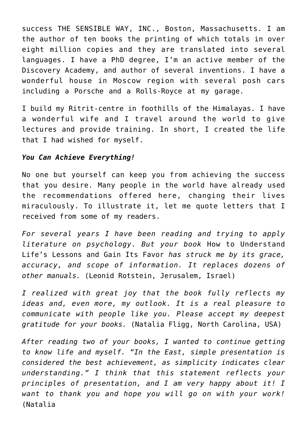success THE SENSIBLE WAY, INC., Boston, Massachusetts. I am the author of ten books the printing of which totals in over eight million copies and they are translated into several languages. I have a PhD degree, I'm an active member of the Discovery Academy, and author of several inventions. I have a wonderful house in Moscow region with several posh cars including a Porsche and a Rolls-Royce at my garage.

I build my Ritrit-centre in foothills of the Himalayas. I have a wonderful wife and I travel around the world to give lectures and provide training. In short, I created the life that I had wished for myself.

# *You Can Achieve Everything!*

No one but yourself can keep you from achieving the success that you desire. Many people in the world have already used the recommendations offered here, changing their lives miraculously. To illustrate it, let me quote letters that I received from some of my readers.

*For several years I have been reading and trying to apply literature on psychology. But your book* How to Understand Life's Lessons and Gain Its Favor *has struck me by its grace, accuracy, and scope of information. It replaces dozens of other manuals.* (Leonid Rotstein, Jerusalem, Israel)

*I realized with great joy that the book fully reflects my ideas and, even more, my outlook. It is a real pleasure to communicate with people like you. Please accept my deepest gratitude for your books.* (Natalia Fligg, North Carolina, USA)

*After reading two of your books, I wanted to continue getting to know life and myself. "In the East, simple presentation is considered the best achievement, as simplicity indicates clear understanding." I think that this statement reflects your principles of presentation, and I am very happy about it! I want to thank you and hope you will go on with your work!* (Natalia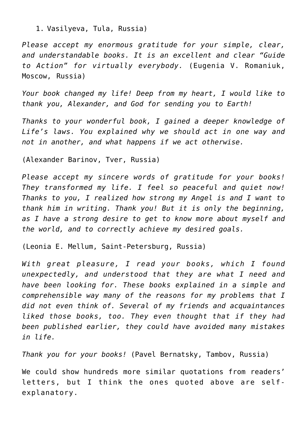1. Vasilyeva, Tula, Russia)

*Please accept my enormous gratitude for your simple, clear, and understandable books. It is an excellent and clear "Guide to Action" for virtually everybody.* (Eugenia V. Romaniuk, Moscow, Russia)

*Your book changed my life! Deep from my heart, I would like to thank you, Alexander, and God for sending you to Earth!*

*Thanks to your wonderful book, I gained a deeper knowledge of Life's laws. You explained why we should act in one way and not in another, and what happens if we act otherwise.*

(Alexander Barinov, Tver, Russia)

*Please accept my sincere words of gratitude for your books! They transformed my life. I feel so peaceful and quiet now! Thanks to you, I realized how strong my Angel is and I want to thank him in writing. Thank you! But it is only the beginning, as I have a strong desire to get to know more about myself and the world, and to correctly achieve my desired goals.*

(Leonia E. Mellum, Saint-Petersburg, Russia)

*With great pleasure, I read your books, which I found unexpectedly, and understood that they are what I need and have been looking for. These books explained in a simple and comprehensible way many of the reasons for my problems that I did not even think of. Several of my friends and acquaintances liked those books, too. They even thought that if they had been published earlier, they could have avoided many mistakes in life.*

*Thank you for your books!* (Pavel Bernatsky, Tambov, Russia)

We could show hundreds more similar quotations from readers' letters, but I think the ones quoted above are selfexplanatory.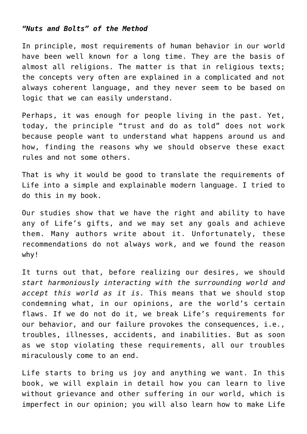## *"Nuts and Bolts" of the Method*

In principle, most requirements of human behavior in our world have been well known for a long time. They are the basis of almost all religions. The matter is that in religious texts; the concepts very often are explained in a complicated and not always coherent language, and they never seem to be based on logic that we can easily understand.

Perhaps, it was enough for people living in the past. Yet, today, the principle "trust and do as told" does not work because people want to understand what happens around us and how, finding the reasons why we should observe these exact rules and not some others.

That is why it would be good to translate the requirements of Life into a simple and explainable modern language. I tried to do this in my book.

Our studies show that we have the right and ability to have any of Life's gifts, and we may set any goals and achieve them. Many authors write about it. Unfortunately, these recommendations do not always work, and we found the reason why!

It turns out that, before realizing our desires, we should *start harmoniously interacting with the surrounding world and accept this world as it is.* This means that we should stop condemning what, in our opinions, are the world's certain flaws. If we do not do it, we break Life's requirements for our behavior, and our failure provokes the consequences, i.e., troubles, illnesses, accidents, and inabilities. But as soon as we stop violating these requirements, all our troubles miraculously come to an end.

Life starts to bring us joy and anything we want. In this book, we will explain in detail how you can learn to live without grievance and other suffering in our world, which is imperfect in our opinion; you will also learn how to make Life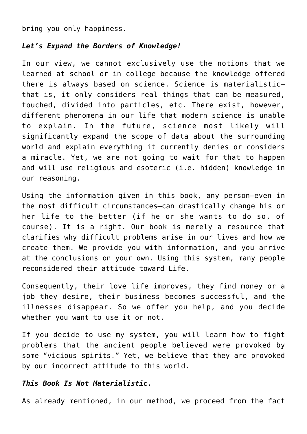bring you only happiness.

## *Let's Expand the Borders of Knowledge!*

In our view, we cannot exclusively use the notions that we learned at school or in college because the knowledge offered there is always based on science. Science is materialistic that is, it only considers real things that can be measured, touched, divided into particles, etc. There exist, however, different phenomena in our life that modern science is unable to explain. In the future, science most likely will significantly expand the scope of data about the surrounding world and explain everything it currently denies or considers a miracle. Yet, we are not going to wait for that to happen and will use religious and esoteric (i.e. hidden) knowledge in our reasoning.

Using the information given in this book, any person—even in the most difficult circumstances—can drastically change his or her life to the better (if he or she wants to do so, of course). It is a right. Our book is merely a resource that clarifies why difficult problems arise in our lives and how we create them. We provide you with information, and you arrive at the conclusions on your own. Using this system, many people reconsidered their attitude toward Life.

Consequently, their love life improves, they find money or a job they desire, their business becomes successful, and the illnesses disappear. So we offer you help, and you decide whether you want to use it or not.

If you decide to use my system, you will learn how to fight problems that the ancient people believed were provoked by some "vicious spirits." Yet, we believe that they are provoked by our incorrect attitude to this world.

#### *This Book Is Not Materialistic.*

As already mentioned, in our method, we proceed from the fact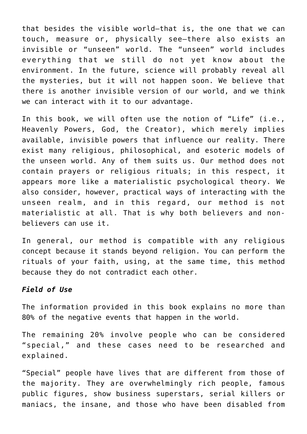that besides the visible world—that is, the one that we can touch, measure or, physically see—there also exists an invisible or "unseen" world. The "unseen" world includes everything that we still do not yet know about the environment. In the future, science will probably reveal all the mysteries, but it will not happen soon. We believe that there is another invisible version of our world, and we think we can interact with it to our advantage.

In this book, we will often use the notion of "Life" (i.e., Heavenly Powers, God, the Creator), which merely implies available, invisible powers that influence our reality. There exist many religious, philosophical, and esoteric models of the unseen world. Any of them suits us. Our method does not contain prayers or religious rituals; in this respect, it appears more like a materialistic psychological theory. We also consider, however, practical ways of interacting with the unseen realm, and in this regard, our method is not materialistic at all. That is why both believers and nonbelievers can use it.

In general, our method is compatible with any religious concept because it stands beyond religion. You can perform the rituals of your faith, using, at the same time, this method because they do not contradict each other.

#### *Field of Use*

The information provided in this book explains no more than 80% of the negative events that happen in the world.

The remaining 20% involve people who can be considered "special," and these cases need to be researched and explained.

"Special" people have lives that are different from those of the majority. They are overwhelmingly rich people, famous public figures, show business superstars, serial killers or maniacs, the insane, and those who have been disabled from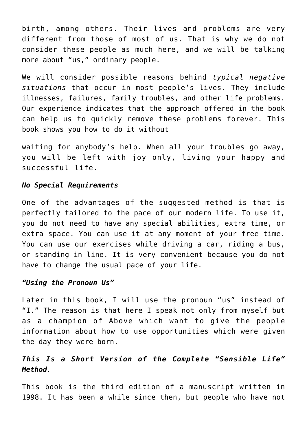birth, among others. Their lives and problems are very different from those of most of us. That is why we do not consider these people as much here, and we will be talking more about "us," ordinary people.

We will consider possible reasons behind *typical negative situations* that occur in most people's lives. They include illnesses, failures, family troubles, and other life problems. Our experience indicates that the approach offered in the book can help us to quickly remove these problems forever. This book shows you how to do it without

waiting for anybody's help. When all your troubles go away, you will be left with joy only, living your happy and successful life.

## *No Special Requirements*

One of the advantages of the suggested method is that is perfectly tailored to the pace of our modern life. To use it, you do not need to have any special abilities, extra time, or extra space. You can use it at any moment of your free time. You can use our exercises while driving a car, riding a bus, or standing in line. It is very convenient because you do not have to change the usual pace of your life.

#### *"Using the Pronoun Us"*

Later in this book, I will use the pronoun "us" instead of "I." The reason is that here I speak not only from myself but as a champion of Above which want to give the people information about how to use opportunities which were given the day they were born.

# *This Is a Short Version of the Complete "Sensible Life" Method.*

This book is the third edition of a manuscript written in 1998. It has been a while since then, but people who have not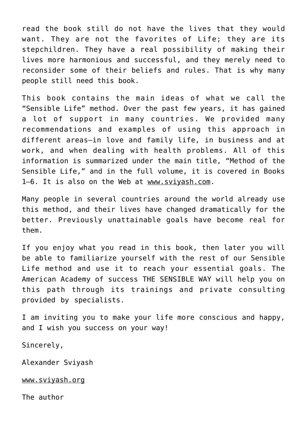read the book still do not have the lives that they would want. They are not the favorites of Life; they are its stepchildren. They have a real possibility of making their lives more harmonious and successful, and they merely need to reconsider some of their beliefs and rules. That is why many people still need this book.

This book contains the main ideas of what we call the "Sensible Life" method. Over the past few years, it has gained a lot of support in many countries. We provided many recommendations and examples of using this approach in different areas—in love and family life, in business and at work, and when dealing with health problems. All of this information is summarized under the main title, "Method of the Sensible Life," and in the full volume, it is covered in Books 1–6. It is also on the Web at www.sviyash.com.

Many people in several countries around the world already use this method, and their lives have changed dramatically for the better. Previously unattainable goals have become real for them.

If you enjoy what you read in this book, then later you will be able to familiarize yourself with the rest of our Sensible Life method and use it to reach your essential goals. The American Academy of success THE SENSIBLE WAY will help you on this path through its trainings and private consulting provided by specialists.

I am inviting you to make your life more conscious and happy, and I wish you success on your way!

Sincerely,

Alexander Sviyash

www.sviyash.org

The author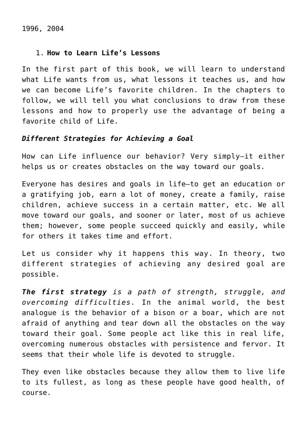1996, 2004

#### 1. **How to Learn Life's Lessons**

In the first part of this book, we will learn to understand what Life wants from us, what lessons it teaches us, and how we can become Life's favorite children. In the chapters to follow, we will tell you what conclusions to draw from these lessons and how to properly use the advantage of being a favorite child of Life.

## *Different Strategies for Achieving a Goal*

How can Life influence our behavior? Very simply—it either helps us or creates obstacles on the way toward our goals.

Everyone has desires and goals in life—to get an education or a gratifying job, earn a lot of money, create a family, raise children, achieve success in a certain matter, etc. We all move toward our goals, and sooner or later, most of us achieve them; however, some people succeed quickly and easily, while for others it takes time and effort.

Let us consider why it happens this way. In theory, two different strategies of achieving any desired goal are possible.

*The first strategy is a path of strength, struggle, and overcoming difficulties.* In the animal world, the best analogue is the behavior of a bison or a boar, which are not afraid of anything and tear down all the obstacles on the way toward their goal. Some people act like this in real life, overcoming numerous obstacles with persistence and fervor. It seems that their whole life is devoted to struggle.

They even like obstacles because they allow them to live life to its fullest, as long as these people have good health, of course.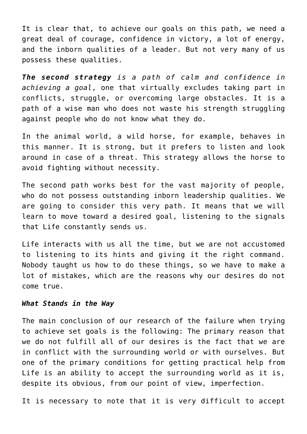It is clear that, to achieve our goals on this path, we need a great deal of courage, confidence in victory, a lot of energy, and the inborn qualities of a leader. But not very many of us possess these qualities.

*The second strategy is a path of calm and confidence in achieving a goal*, one that virtually excludes taking part in conflicts, struggle, or overcoming large obstacles. It is a path of a wise man who does not waste his strength struggling against people who do not know what they do.

In the animal world, a wild horse, for example, behaves in this manner. It is strong, but it prefers to listen and look around in case of a threat. This strategy allows the horse to avoid fighting without necessity.

The second path works best for the vast majority of people, who do not possess outstanding inborn leadership qualities. We are going to consider this very path. It means that we will learn to move toward a desired goal, listening to the signals that Life constantly sends us.

Life interacts with us all the time, but we are not accustomed to listening to its hints and giving it the right command. Nobody taught us how to do these things, so we have to make a lot of mistakes, which are the reasons why our desires do not come true.

#### *What Stands in the Way*

The main conclusion of our research of the failure when trying to achieve set goals is the following: The primary reason that we do not fulfill all of our desires is the fact that we are in conflict with the surrounding world or with ourselves. But one of the primary conditions for getting practical help from Life is an ability to accept the surrounding world as it is, despite its obvious, from our point of view, imperfection.

It is necessary to note that it is very difficult to accept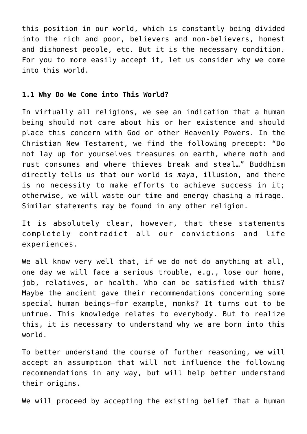this position in our world, which is constantly being divided into the rich and poor, believers and non-believers, honest and dishonest people, etc. But it is the necessary condition. For you to more easily accept it, let us consider why we come into this world.

#### **1.1 Why Do We Come into This World?**

In virtually all religions, we see an indication that a human being should not care about his or her existence and should place this concern with God or other Heavenly Powers. In the Christian New Testament, we find the following precept: "Do not lay up for yourselves treasures on earth, where moth and rust consumes and where thieves break and steal…" Buddhism directly tells us that our world is *maya*, illusion, and there is no necessity to make efforts to achieve success in it; otherwise, we will waste our time and energy chasing a mirage. Similar statements may be found in any other religion.

It is absolutely clear, however, that these statements completely contradict all our convictions and life experiences.

We all know very well that, if we do not do anything at all, one day we will face a serious trouble, e.g., lose our home, job, relatives, or health. Who can be satisfied with this? Maybe the ancient gave their recommendations concerning some special human beings—for example, monks? It turns out to be untrue. This knowledge relates to everybody. But to realize this, it is necessary to understand why we are born into this world.

To better understand the course of further reasoning, we will accept an assumption that will not influence the following recommendations in any way, but will help better understand their origins.

We will proceed by accepting the existing belief that a human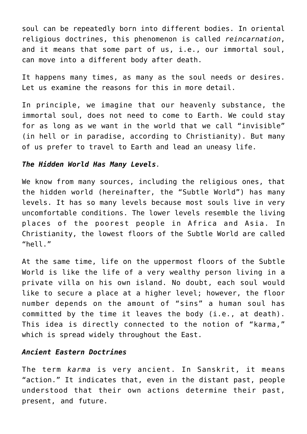soul can be repeatedly born into different bodies. In oriental religious doctrines, this phenomenon is called *reincarnation*, and it means that some part of us, i.e., our immortal soul, can move into a different body after death.

It happens many times, as many as the soul needs or desires. Let us examine the reasons for this in more detail.

In principle, we imagine that our heavenly substance, the immortal soul, does not need to come to Earth. We could stay for as long as we want in the world that we call "invisible" (in hell or in paradise, according to Christianity). But many of us prefer to travel to Earth and lead an uneasy life.

#### *The Hidden World Has Many Levels.*

We know from many sources, including the religious ones, that the hidden world (hereinafter, the "Subtle World") has many levels. It has so many levels because most souls live in very uncomfortable conditions. The lower levels resemble the living places of the poorest people in Africa and Asia. In Christianity, the lowest floors of the Subtle World are called "hell."

At the same time, life on the uppermost floors of the Subtle World is like the life of a very wealthy person living in a private villa on his own island. No doubt, each soul would like to secure a place at a higher level; however, the floor number depends on the amount of "sins" a human soul has committed by the time it leaves the body (i.e., at death). This idea is directly connected to the notion of "karma," which is spread widely throughout the East.

#### *Ancient Eastern Doctrines*

The term *karma* is very ancient. In Sanskrit, it means "action." It indicates that, even in the distant past, people understood that their own actions determine their past, present, and future.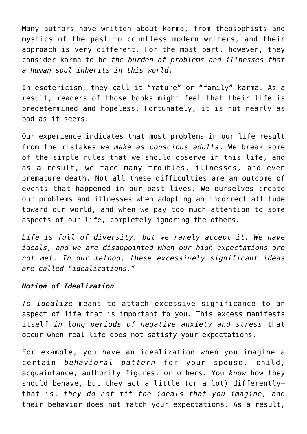Many authors have written about karma, from theosophists and mystics of the past to countless modern writers, and their approach is very different. For the most part, however, they consider karma to be *the burden of problems and illnesses that a human soul inherits in this world*.

In esotericism, they call it "mature" or "family" karma. As a result, readers of those books might feel that their life is predetermined and hopeless. Fortunately, it is not nearly as bad as it seems.

Our experience indicates that most problems in our life result from the mistakes *we make as conscious adults*. We break some of the simple rules that we should observe in this life, and as a result, we face many troubles, illnesses, and even premature death. Not all these difficulties are an outcome of events that happened in our past lives. We ourselves create our problems and illnesses when adopting an incorrect attitude toward our world, and when we pay too much attention to some aspects of our life, completely ignoring the others.

*Life is full of diversity, but we rarely accept it. We have ideals, and we are disappointed when our high expectations are not met. In our method, these excessively significant ideas are called "idealizations."*

#### *Notion of Idealization*

*To idealize* means to attach excessive significance to an aspect of life that is important to you. This excess manifests itself *in long periods of negative anxiety and stress* that occur when real life does not satisfy your expectations.

For example, you have an idealization when you imagine a certain *behavioral pattern* for your spouse, child, acquaintance, authority figures, or others. You *know* how they should behave, but they act a little (or a lot) differently that is, *they do not fit the ideals that you imagine,* and their behavior does not match your expectations. As a result,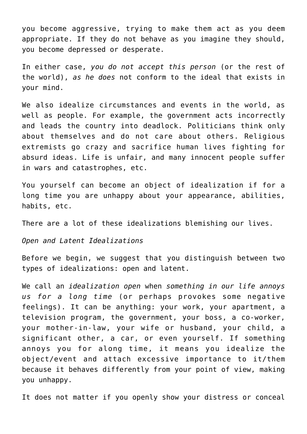you become aggressive, trying to make them act as you deem appropriate. If they do not behave as you imagine they should, you become depressed or desperate.

In either case, *you do not accept this person* (or the rest of the world), *as he does* not conform to the ideal that exists in your mind.

We also idealize circumstances and events in the world, as well as people. For example, the government acts incorrectly and leads the country into deadlock. Politicians think only about themselves and do not care about others. Religious extremists go crazy and sacrifice human lives fighting for absurd ideas. Life is unfair, and many innocent people suffer in wars and catastrophes, etc.

You yourself can become an object of idealization if for a long time you are unhappy about your appearance, abilities, habits, etc.

There are a lot of these idealizations blemishing our lives.

*Open and Latent Idealizations*

Before we begin, we suggest that you distinguish between two types of idealizations: open and latent.

We call an *idealization open* when *something in our life annoys us for a long time* (or perhaps provokes some negative feelings). It can be anything: your work, your apartment, a television program, the government, your boss, a co-worker, your mother-in-law, your wife or husband, your child, a significant other, a car, or even yourself. If something annoys you for along time, it means you idealize the object/event and attach excessive importance to it/them because it behaves differently from your point of view, making you unhappy.

It does not matter if you openly show your distress or conceal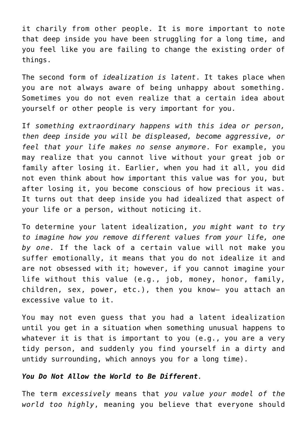it charily from other people. It is more important to note that deep inside you have been struggling for a long time, and you feel like you are failing to change the existing order of things.

The second form of *idealization is latent*. It takes place when you are not always aware of being unhappy about something. Sometimes you do not even realize that a certain idea about yourself or other people is very important for you.

If *something extraordinary happens with this idea or person, then deep inside you will be displeased, become aggressive, or feel that your life makes no sense anymore*. For example, you may realize that you cannot live without your great job or family after losing it. Earlier, when you had it all, you did not even think about how important this value was for you, but after losing it, you become conscious of how precious it was. It turns out that deep inside you had idealized that aspect of your life or a person, without noticing it.

To determine your latent idealization, *you might want to try to imagine how you remove different values from your life, one by one.* If the lack of a certain value will not make you suffer emotionally, it means that you do not idealize it and are not obsessed with it; however, if you cannot imagine your life without this value (e.g., job, money, honor, family, children, sex, power, etc.), then you know— you attach an excessive value to it.

You may not even guess that you had a latent idealization until you get in a situation when something unusual happens to whatever it is that is important to you (e.g., you are a very tidy person, and suddenly you find yourself in a dirty and untidy surrounding, which annoys you for a long time).

#### *You Do Not Allow the World to Be Different.*

The term *excessively* means that *you value your model of the world too highly*, meaning you believe that everyone should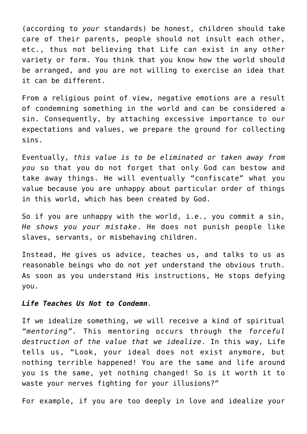(according to *your* standards) be honest, children should take care of their parents, people should not insult each other, etc., thus not believing that Life can exist in any other variety or form. You think that you know how the world should be arranged, and you are not willing to exercise an idea that it can be different.

From a religious point of view, negative emotions are a result of condemning something in the world and can be considered a sin. Consequently, by attaching excessive importance to our expectations and values, we prepare the ground for collecting sins.

Eventually, *this value is to be eliminated or taken away from you* so that you do not forget that only God can bestow and take away things. He will eventually "confiscate" what you value because you are unhappy about particular order of things in this world, which has been created by God.

So if you are unhappy with the world, i.e., you commit a sin, *He shows you your mistake*. He does not punish people like slaves, servants, or misbehaving children.

Instead, He gives us advice, teaches us, and talks to us as reasonable beings who do not *yet* understand the obvious truth. As soon as you understand His instructions, He stops defying you.

#### *Life Teaches Us Not to Condemn.*

If we idealize something, we will receive a kind of spiritual *"mentoring".* This mentoring occurs through the *forceful destruction of the value that we idealize*. In this way, Life tells us, "Look, your ideal does not exist anymore, but nothing terrible happened! You are the same and life around you is the same, yet nothing changed! So is it worth it to waste your nerves fighting for your illusions?"

For example, if you are too deeply in love and idealize your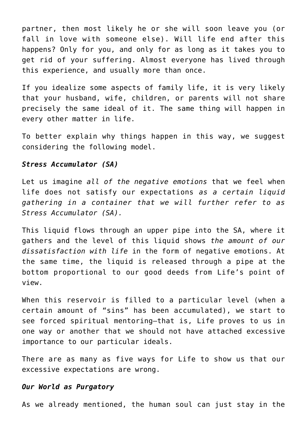partner, then most likely he or she will soon leave you (or fall in love with someone else). Will life end after this happens? Only for you, and only for as long as it takes you to get rid of your suffering. Almost everyone has lived through this experience, and usually more than once.

If you idealize some aspects of family life, it is very likely that your husband, wife, children, or parents will not share precisely the same ideal of it. The same thing will happen in every other matter in life.

To better explain why things happen in this way, we suggest considering the following model.

#### *Stress Accumulator (SA)*

Let us imagine *all of the negative emotions* that we feel when life does not satisfy our expectations *as a certain liquid gathering in a container that we will further refer to as Stress Accumulator (SA).*

This liquid flows through an upper pipe into the SA, where it gathers and the level of this liquid shows *the amount of our dissatisfaction with life* in the form of negative emotions. At the same time, the liquid is released through a pipe at the bottom proportional to our good deeds from Life's point of view.

When this reservoir is filled to a particular level (when a certain amount of "sins" has been accumulated), we start to see forced spiritual mentoring—that is, Life proves to us in one way or another that we should not have attached excessive importance to our particular ideals.

There are as many as five ways for Life to show us that our excessive expectations are wrong.

#### *Our World as Purgatory*

As we already mentioned, the human soul can just stay in the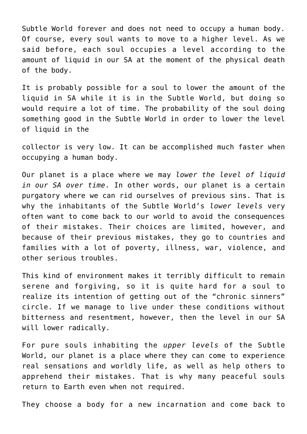Subtle World forever and does not need to occupy a human body. Of course, every soul wants to move to a higher level. As we said before, each soul occupies a level according to the amount of liquid in our SA at the moment of the physical death of the body.

It is probably possible for a soul to lower the amount of the liquid in SA while it is in the Subtle World, but doing so would require a lot of time. The probability of the soul doing something good in the Subtle World in order to lower the level of liquid in the

collector is very low. It can be accomplished much faster when occupying a human body.

Our planet is a place where we may *lower the level of liquid in our SA over time*. In other words, our planet is a certain purgatory where we can rid ourselves of previous sins. That is why the inhabitants of the Subtle World's *lower levels* very often want to come back to our world to avoid the consequences of their mistakes. Their choices are limited, however, and because of their previous mistakes, they go to countries and families with a lot of poverty, illness, war, violence, and other serious troubles.

This kind of environment makes it terribly difficult to remain serene and forgiving, so it is quite hard for a soul to realize its intention of getting out of the "chronic sinners" circle. If we manage to live under these conditions without bitterness and resentment, however, then the level in our SA will lower radically.

For pure souls inhabiting the *upper levels* of the Subtle World, our planet is a place where they can come to experience real sensations and worldly life, as well as help others to apprehend their mistakes. That is why many peaceful souls return to Earth even when not required.

They choose a body for a new incarnation and come back to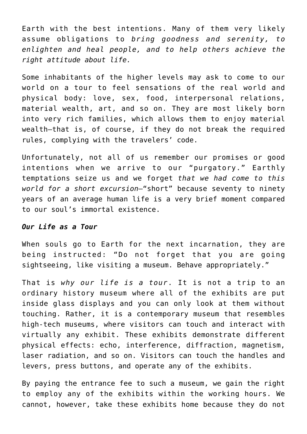Earth with the best intentions. Many of them very likely assume obligations to *bring goodness and serenity, to enlighten and heal people, and to help others achieve the right attitude about life.*

Some inhabitants of the higher levels may ask to come to our world on a tour to feel sensations of the real world and physical body: love, sex, food, interpersonal relations, material wealth, art, and so on. They are most likely born into very rich families, which allows them to enjoy material wealth—that is, of course, if they do not break the required rules, complying with the travelers' code.

Unfortunately, not all of us remember our promises or good intentions when we arrive to our "purgatory." Earthly temptations seize us and we forget *that we had come to this world for a short excursion*—"short" because seventy to ninety years of an average human life is a very brief moment compared to our soul's immortal existence.

#### *Our Life as a Tour*

When souls go to Earth for the next incarnation, they are being instructed: "Do not forget that you are going sightseeing, like visiting a museum. Behave appropriately."

That is *why our life is a tour*. It is not a trip to an ordinary history museum where all of the exhibits are put inside glass displays and you can only look at them without touching. Rather, it is a contemporary museum that resembles high-tech museums, where visitors can touch and interact with virtually any exhibit. These exhibits demonstrate different physical effects: echo, interference, diffraction, magnetism, laser radiation, and so on. Visitors can touch the handles and levers, press buttons, and operate any of the exhibits.

By paying the entrance fee to such a museum, we gain the right to employ any of the exhibits within the working hours. We cannot, however, take these exhibits home because they do not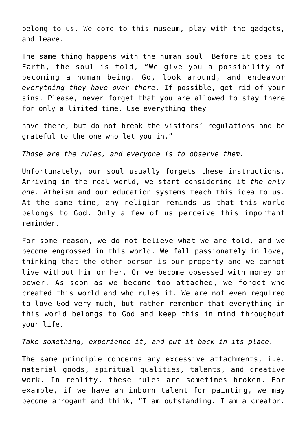belong to us. We come to this museum, play with the gadgets, and leave.

The same thing happens with the human soul. Before it goes to Earth, the soul is told, "We give you a possibility of becoming a human being. Go, look around, and endeavor *everything they have over there*. If possible, get rid of your sins. Please, never forget that you are allowed to stay there for only a limited time. Use everything they

have there, but do not break the visitors' regulations and be grateful to the one who let you in."

*Those are the rules, and everyone is to observe them.*

Unfortunately, our soul usually forgets these instructions. Arriving in the real world, we start considering it *the only one*. Atheism and our education systems teach this idea to us. At the same time, any religion reminds us that this world belongs to God. Only a few of us perceive this important reminder.

For some reason, we do not believe what we are told, and we become engrossed in this world. We fall passionately in love, thinking that the other person is our property and we cannot live without him or her. Or we become obsessed with money or power. As soon as we become too attached, we forget who created this world and who rules it. We are not even required to love God very much, but rather remember that everything in this world belongs to God and keep this in mind throughout your life.

*Take something, experience it, and put it back in its place.*

The same principle concerns any excessive attachments, i.e. material goods, spiritual qualities, talents, and creative work. In reality, these rules are sometimes broken. For example, if we have an inborn talent for painting, we may become arrogant and think, "I am outstanding. I am a creator.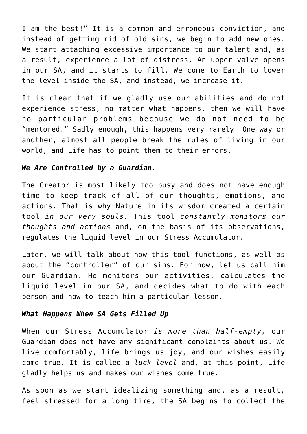I am the best!" It is a common and erroneous conviction, and instead of getting rid of old sins, we begin to add new ones. We start attaching excessive importance to our talent and, as a result, experience a lot of distress. An upper valve opens in our SA, and it starts to fill. We come to Earth to lower the level inside the SA, and instead, we increase it.

It is clear that if we gladly use our abilities and do not experience stress, no matter what happens, then we will have no particular problems because we do not need to be "mentored." Sadly enough, this happens very rarely. One way or another, almost all people break the rules of living in our world, and Life has to point them to their errors.

#### *We Are Controlled by a Guardian.*

The Creator is most likely too busy and does not have enough time to keep track of all of our thoughts, emotions, and actions. That is why Nature in its wisdom created a certain tool *in our very souls.* This tool *constantly monitors our thoughts and actions* and, on the basis of its observations, regulates the liquid level in our Stress Accumulator.

Later, we will talk about how this tool functions, as well as about the "controller" of our sins. For now, let us call him our Guardian. He monitors our activities, calculates the liquid level in our SA, and decides what to do with each person and how to teach him a particular lesson.

#### *What Happens When SA Gets Filled Up*

When our Stress Accumulator *is more than half-empty,* our Guardian does not have any significant complaints about us. We live comfortably, life brings us joy, and our wishes easily come true. It is called a *luck level* and, at this point, Life gladly helps us and makes our wishes come true.

As soon as we start idealizing something and, as a result, feel stressed for a long time, the SA begins to collect the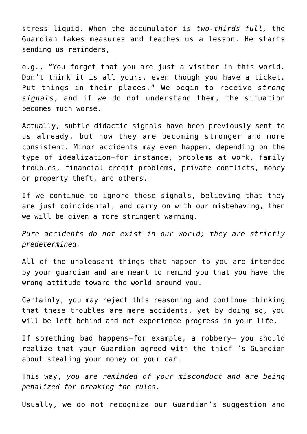stress liquid. When the accumulator is *two-thirds full,* the Guardian takes measures and teaches us a lesson. He starts sending us reminders,

e.g., "You forget that you are just a visitor in this world. Don't think it is all yours, even though you have a ticket. Put things in their places." We begin to receive *strong signals*, and if we do not understand them, the situation becomes much worse.

Actually, subtle didactic signals have been previously sent to us already, but now they are becoming stronger and more consistent. Minor accidents may even happen, depending on the type of idealization—for instance, problems at work, family troubles, financial credit problems, private conflicts, money or property theft, and others.

If we continue to ignore these signals, believing that they are just coincidental, and carry on with our misbehaving, then we will be given a more stringent warning.

*Pure accidents do not exist in our world; they are strictly predetermined.*

All of the unpleasant things that happen to you are intended by your guardian and are meant to remind you that you have the wrong attitude toward the world around you.

Certainly, you may reject this reasoning and continue thinking that these troubles are mere accidents, yet by doing so, you will be left behind and not experience progress in your life.

If something bad happens—for example, a robbery— you should realize that your Guardian agreed with the thief 's Guardian about stealing your money or your car.

This way, *you are reminded of your misconduct and are being penalized for breaking the rules.*

Usually, we do not recognize our Guardian's suggestion and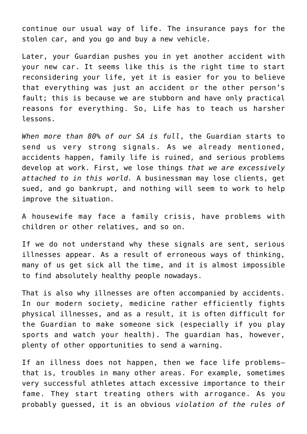continue our usual way of life. The insurance pays for the stolen car, and you go and buy a new vehicle.

Later, your Guardian pushes you in yet another accident with your new car. It seems like this is the right time to start reconsidering your life, yet it is easier for you to believe that everything was just an accident or the other person's fault; this is because we are stubborn and have only practical reasons for everything. So, Life has to teach us harsher lessons.

*When more than 80% of our SA is full*, the Guardian starts to send us very strong signals. As we already mentioned, accidents happen, family life is ruined, and serious problems develop at work. First, we lose things *that we are excessively attached to in this world.* A businessman may lose clients, get sued, and go bankrupt, and nothing will seem to work to help improve the situation.

A housewife may face a family crisis, have problems with children or other relatives, and so on.

If we do not understand why these signals are sent, serious illnesses appear. As a result of erroneous ways of thinking, many of us get sick all the time, and it is almost impossible to find absolutely healthy people nowadays.

That is also why illnesses are often accompanied by accidents. In our modern society, medicine rather efficiently fights physical illnesses, and as a result, it is often difficult for the Guardian to make someone sick (especially if you play sports and watch your health). The guardian has, however, plenty of other opportunities to send a warning.

If an illness does not happen, then we face life problems that is, troubles in many other areas. For example, sometimes very successful athletes attach excessive importance to their fame. They start treating others with arrogance. As you probably guessed, it is an obvious *violation of the rules of*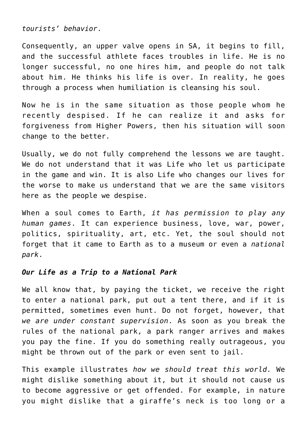*tourists' behavior*.

Consequently, an upper valve opens in SA, it begins to fill, and the successful athlete faces troubles in life. He is no longer successful, no one hires him, and people do not talk about him. He thinks his life is over. In reality, he goes through a process when humiliation is cleansing his soul.

Now he is in the same situation as those people whom he recently despised. If he can realize it and asks for forgiveness from Higher Powers, then his situation will soon change to the better.

Usually, we do not fully comprehend the lessons we are taught. We do not understand that it was Life who let us participate in the game and win. It is also Life who changes our lives for the worse to make us understand that we are the same visitors here as the people we despise.

When a soul comes to Earth, *it has permission to play any human games*. It can experience business, love, war, power, politics, spirituality, art, etc. Yet, the soul should not forget that it came to Earth as to a museum or even a *national park*.

#### *Our Life as a Trip to a National Park*

We all know that, by paying the ticket, we receive the right to enter a national park, put out a tent there, and if it is permitted, sometimes even hunt. Do not forget, however, that *we are under constant supervision*. As soon as you break the rules of the national park, a park ranger arrives and makes you pay the fine. If you do something really outrageous, you might be thrown out of the park or even sent to jail.

This example illustrates *how we should treat this world.* We might dislike something about it, but it should not cause us to become aggressive or get offended. For example, in nature you might dislike that a giraffe's neck is too long or a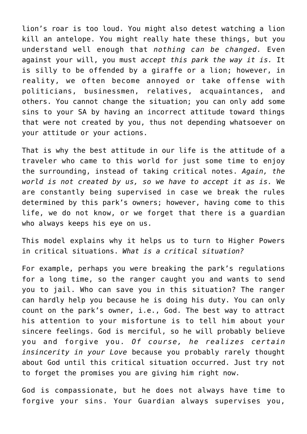lion's roar is too loud. You might also detest watching a lion kill an antelope. You might really hate these things, but you understand well enough that *nothing can be changed.* Even against your will, you must *accept this park the way it is.* It is silly to be offended by a giraffe or a lion; however, in reality, we often become annoyed or take offense with politicians, businessmen, relatives, acquaintances, and others. You cannot change the situation; you can only add some sins to your SA by having an incorrect attitude toward things that were not created by you, thus not depending whatsoever on your attitude or your actions.

That is why the best attitude in our life is the attitude of a traveler who came to this world for just some time to enjoy the surrounding, instead of taking critical notes. *Again, the world is not created by us, so we have to accept it as is.* We are constantly being supervised in case we break the rules determined by this park's owners; however, having come to this life, we do not know, or we forget that there is a guardian who always keeps his eye on us.

This model explains why it helps us to turn to Higher Powers in critical situations. *What is a critical situation?*

For example, perhaps you were breaking the park's regulations for a long time, so the ranger caught you and wants to send you to jail. Who can save you in this situation? The ranger can hardly help you because he is doing his duty. You can only count on the park's owner, i.e., God. The best way to attract his attention to your misfortune is to tell him about your sincere feelings. God is merciful, so he will probably believe you and forgive you. *Of course, he realizes certain insincerity in your Love* because you probably rarely thought about God until this critical situation occurred. Just try not to forget the promises you are giving him right now.

God is compassionate, but he does not always have time to forgive your sins. Your Guardian always supervises you,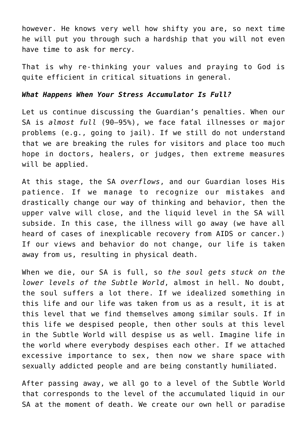however. He knows very well how shifty you are, so next time he will put you through such a hardship that you will not even have time to ask for mercy.

That is why re-thinking your values and praying to God is quite efficient in critical situations in general.

#### *What Happens When Your Stress Accumulator Is Full?*

Let us continue discussing the Guardian's penalties. When our SA is *almost full* (90–95%), we face fatal illnesses or major problems (e.g., going to jail). If we still do not understand that we are breaking the rules for visitors and place too much hope in doctors, healers, or judges, then extreme measures will be applied.

At this stage, the SA *overflows*, and our Guardian loses His patience. If we manage to recognize our mistakes and drastically change our way of thinking and behavior, then the upper valve will close, and the liquid level in the SA will subside. In this case, the illness will go away (we have all heard of cases of inexplicable recovery from AIDS or cancer.) If our views and behavior do not change, our life is taken away from us, resulting in physical death.

When we die, our SA is full, so *the soul gets stuck on the lower levels of the Subtle World*, almost in hell. No doubt, the soul suffers a lot there. If we idealized something in this life and our life was taken from us as a result, it is at this level that we find themselves among similar souls. If in this life we despised people, then other souls at this level in the Subtle World will despise us as well. Imagine life in the world where everybody despises each other. If we attached excessive importance to sex, then now we share space with sexually addicted people and are being constantly humiliated.

After passing away, we all go to a level of the Subtle World that corresponds to the level of the accumulated liquid in our SA at the moment of death. We create our own hell or paradise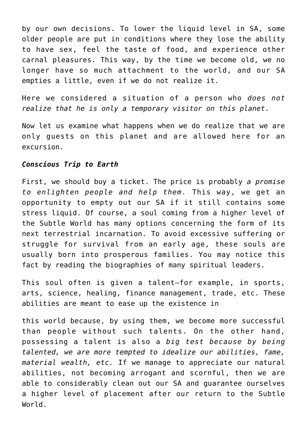by our own decisions. To lower the liquid level in SA, some older people are put in conditions where they lose the ability to have sex, feel the taste of food, and experience other carnal pleasures. This way, by the time we become old, we no longer have so much attachment to the world, and our SA empties a little, even if we do not realize it.

Here we considered a situation of a person who *does not realize that he is only a temporary visitor on this planet*.

Now let us examine what happens when we do realize that we are only guests on this planet and are allowed here for an excursion.

## *Conscious Trip to Earth*

First, we should buy a ticket. The price is probably *a promise to enlighten people and help them.* This way, we get an opportunity to empty out our SA if it still contains some stress liquid. Of course, a soul coming from a higher level of the Subtle World has many options concerning the form of its next terrestrial incarnation. To avoid excessive suffering or struggle for survival from an early age, these souls are usually born into prosperous families. You may notice this fact by reading the biographies of many spiritual leaders.

This soul often is given a talent—for example, in sports, arts, science, healing, finance management, trade, etc. These abilities are meant to ease up the existence in

this world because, by using them, we become more successful than people without such talents. On the other hand, possessing a talent is also a *big test because by being talented, we are more tempted to idealize our abilities, fame, material wealth, etc.* If we manage to appreciate our natural abilities, not becoming arrogant and scornful, then we are able to considerably clean out our SA and guarantee ourselves a higher level of placement after our return to the Subtle World.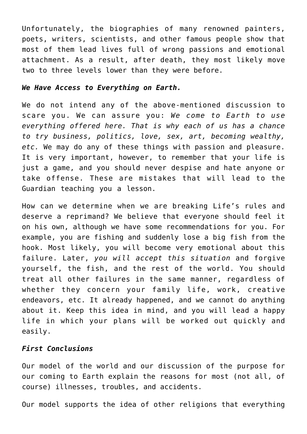Unfortunately, the biographies of many renowned painters, poets, writers, scientists, and other famous people show that most of them lead lives full of wrong passions and emotional attachment. As a result, after death, they most likely move two to three levels lower than they were before.

#### *We Have Access to Everything on Earth.*

We do not intend any of the above-mentioned discussion to scare you. We can assure you: *We come to Earth to use everything offered here. That is why each of us has a chance to try business, politics, love, sex, art, becoming wealthy, etc.* We may do any of these things with passion and pleasure. It is very important, however, to remember that your life is just a game, and you should never despise and hate anyone or take offense. These are mistakes that will lead to the Guardian teaching you a lesson.

How can we determine when we are breaking Life's rules and deserve a reprimand? We believe that everyone should feel it on his own, although we have some recommendations for you. For example, you are fishing and suddenly lose a big fish from the hook. Most likely, you will become very emotional about this failure. Later, *you will accept this situation* and forgive yourself, the fish, and the rest of the world. You should treat all other failures in the same manner, regardless of whether they concern your family life, work, creative endeavors, etc. It already happened, and we cannot do anything about it. Keep this idea in mind, and you will lead a happy life in which your plans will be worked out quickly and easily.

# *First Conclusions*

Our model of the world and our discussion of the purpose for our coming to Earth explain the reasons for most (not all, of course) illnesses, troubles, and accidents.

Our model supports the idea of other religions that everything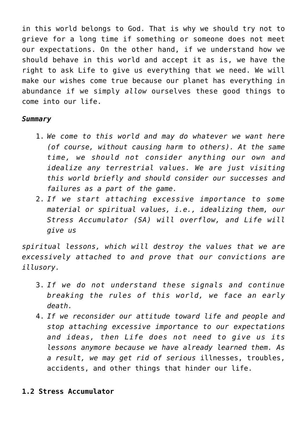in this world belongs to God. That is why we should try not to grieve for a long time if something or someone does not meet our expectations. On the other hand, if we understand how we should behave in this world and accept it as is, we have the right to ask Life to give us everything that we need. We will make our wishes come true because our planet has everything in abundance if we simply *allow* ourselves these good things to come into our life.

## *Summary*

- 1. *We come to this world and may do whatever we want here (of course, without causing harm to others). At the same time, we should not consider anything our own and idealize any terrestrial values. We are just visiting this world briefly and should consider our successes and failures as a part of the game.*
- 2. *If we start attaching excessive importance to some material or spiritual values, i.e., idealizing them, our Stress Accumulator (SA) will overflow, and Life will give us*

*spiritual lessons, which will destroy the values that we are excessively attached to and prove that our convictions are illusory.*

- 3. *If we do not understand these signals and continue breaking the rules of this world, we face an early death.*
- 4. *If we reconsider our attitude toward life and people and stop attaching excessive importance to our expectations and ideas, then Life does not need to give us its lessons anymore because we have already learned them. As a result, we may get rid of serious* illnesses, troubles, accidents, and other things that hinder our life.

# **1.2 Stress Accumulator**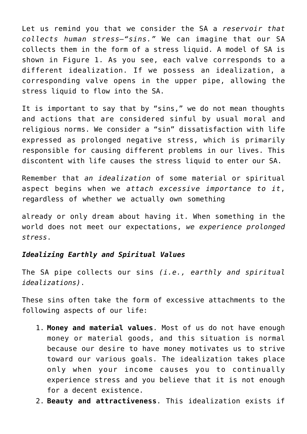Let us remind you that we consider the SA a *reservoir that collects human stress—"sins."* We can imagine that our SA collects them in the form of a stress liquid. A model of SA is shown in Figure 1. As you see, each valve corresponds to a different idealization. If we possess an idealization, a corresponding valve opens in the upper pipe, allowing the stress liquid to flow into the SA.

It is important to say that by "sins," we do not mean thoughts and actions that are considered sinful by usual moral and religious norms. We consider a "sin" dissatisfaction with life expressed as prolonged negative stress, which is primarily responsible for causing different problems in our lives. This discontent with life causes the stress liquid to enter our SA.

Remember that *an idealization* of some material or spiritual aspect begins when we *attach excessive importance to it*, regardless of whether we actually own something

already or only dream about having it. When something in the world does not meet our expectations, *we experience prolonged stress*.

# *Idealizing Earthly and Spiritual Values*

The SA pipe collects our sins *(i.e., earthly and spiritual idealizations)*.

These sins often take the form of excessive attachments to the following aspects of our life:

- 1. **Money and material values**. Most of us do not have enough money or material goods, and this situation is normal because our desire to have money motivates us to strive toward our various goals. The idealization takes place only when your income causes you to continually experience stress and you believe that it is not enough for a decent existence.
- 2. **Beauty and attractiveness**. This idealization exists if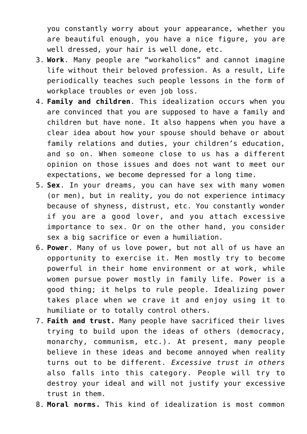you constantly worry about your appearance, whether you are beautiful enough, you have a nice figure, you are well dressed, your hair is well done, etc.

- 3. **Work**. Many people are "workaholics" and cannot imagine life without their beloved profession. As a result, Life periodically teaches such people lessons in the form of workplace troubles or even job loss.
- 4. **Family and children**. This idealization occurs when you are convinced that you are supposed to have a family and children but have none. It also happens when you have a clear idea about how your spouse should behave or about family relations and duties, your children's education, and so on. When someone close to us has a different opinion on those issues and does not want to meet our expectations, we become depressed for a long time.
- 5. **Sex**. In your dreams, you can have sex with many women (or men), but in reality, you do not experience intimacy because of shyness, distrust, etc. You constantly wonder if you are a good lover, and you attach excessive importance to sex. Or on the other hand, you consider sex a big sacrifice or even a humiliation.
- 6. **Power**. Many of us love power, but not all of us have an opportunity to exercise it. Men mostly try to become powerful in their home environment or at work, while women pursue power mostly in family life. Power is a good thing; it helps to rule people. Idealizing power takes place when we crave it and enjoy using it to humiliate or to totally control others.
- 7. **Faith and trust.** Many people have sacrificed their lives trying to build upon the ideas of others (democracy, monarchy, communism, etc.). At present, many people believe in these ideas and become annoyed when reality turns out to be different. *Excessive trust in others* also falls into this category. People will try to destroy your ideal and will not justify your excessive trust in them.
- 8. **Moral norms.** This kind of idealization is most common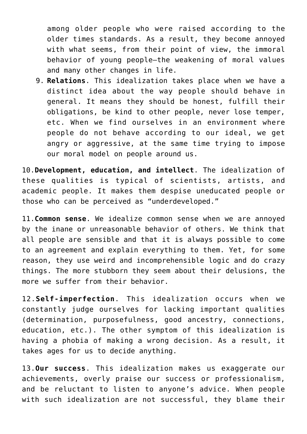among older people who were raised according to the older times standards. As a result, they become annoyed with what seems, from their point of view, the immoral behavior of young people—the weakening of moral values and many other changes in life.

9. **Relations**. This idealization takes place when we have a distinct idea about the way people should behave in general. It means they should be honest, fulfill their obligations, be kind to other people, never lose temper, etc. When we find ourselves in an environment where people do not behave according to our ideal, we get angry or aggressive, at the same time trying to impose our moral model on people around us.

10.**Development, education, and intellect**. The idealization of these qualities is typical of scientists, artists, and academic people. It makes them despise uneducated people or those who can be perceived as "underdeveloped."

11.**Common sense**. We idealize common sense when we are annoyed by the inane or unreasonable behavior of others. We think that all people are sensible and that it is always possible to come to an agreement and explain everything to them. Yet, for some reason, they use weird and incomprehensible logic and do crazy things. The more stubborn they seem about their delusions, the more we suffer from their behavior.

12.**Self-imperfection**. This idealization occurs when we constantly judge ourselves for lacking important qualities (determination, purposefulness, good ancestry, connections, education, etc.). The other symptom of this idealization is having a phobia of making a wrong decision. As a result, it takes ages for us to decide anything.

13.**Our success**. This idealization makes us exaggerate our achievements, overly praise our success or professionalism, and be reluctant to listen to anyone's advice. When people with such idealization are not successful, they blame their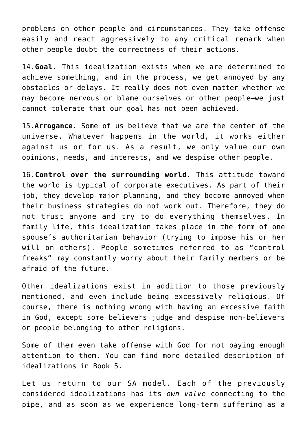problems on other people and circumstances. They take offense easily and react aggressively to any critical remark when other people doubt the correctness of their actions.

14.**Goal**. This idealization exists when we are determined to achieve something, and in the process, we get annoyed by any obstacles or delays. It really does not even matter whether we may become nervous or blame ourselves or other people—we just cannot tolerate that our goal has not been achieved.

15.**Arrogance**. Some of us believe that we are the center of the universe. Whatever happens in the world, it works either against us or for us. As a result, we only value our own opinions, needs, and interests, and we despise other people.

16.**Control over the surrounding world**. This attitude toward the world is typical of corporate executives. As part of their job, they develop major planning, and they become annoyed when their business strategies do not work out. Therefore, they do not trust anyone and try to do everything themselves. In family life, this idealization takes place in the form of one spouse's authoritarian behavior (trying to impose his or her will on others). People sometimes referred to as "control freaks" may constantly worry about their family members or be afraid of the future.

Other idealizations exist in addition to those previously mentioned, and even include being excessively religious. Of course, there is nothing wrong with having an excessive faith in God, except some believers judge and despise non-believers or people belonging to other religions.

Some of them even take offense with God for not paying enough attention to them. You can find more detailed description of idealizations in Book 5.

Let us return to our SA model. Each of the previously considered idealizations has its *own valve* connecting to the pipe, and as soon as we experience long-term suffering as a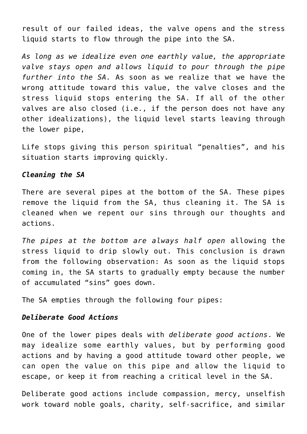result of our failed ideas, the valve opens and the stress liquid starts to flow through the pipe into the SA.

*As long as we idealize even one earthly value, the appropriate valve stays open and allows liquid to pour through the pipe further into the SA.* As soon as we realize that we have the wrong attitude toward this value, the valve closes and the stress liquid stops entering the SA. If all of the other valves are also closed (i.e., if the person does not have any other idealizations), the liquid level starts leaving through the lower pipe,

Life stops giving this person spiritual "penalties", and his situation starts improving quickly.

## *Cleaning the SA*

There are several pipes at the bottom of the SA. These pipes remove the liquid from the SA, thus cleaning it. The SA is cleaned when we repent our sins through our thoughts and actions.

*The pipes at the bottom are always half open* allowing the stress liquid to drip slowly out. This conclusion is drawn from the following observation: As soon as the liquid stops coming in, the SA starts to gradually empty because the number of accumulated "sins" goes down.

The SA empties through the following four pipes:

#### *Deliberate Good Actions*

One of the lower pipes deals with *deliberate good actions*. We may idealize some earthly values, but by performing good actions and by having a good attitude toward other people, we can open the value on this pipe and allow the liquid to escape, or keep it from reaching a critical level in the SA.

Deliberate good actions include compassion, mercy, unselfish work toward noble goals, charity, self-sacrifice, and similar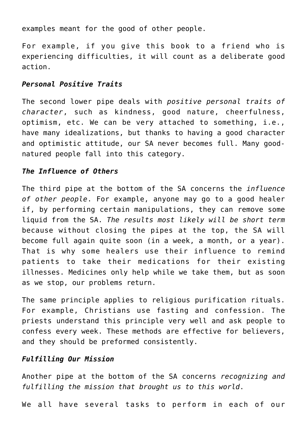examples meant for the good of other people.

For example, if you give this book to a friend who is experiencing difficulties, it will count as a deliberate good action.

## *Personal Positive Traits*

The second lower pipe deals with *positive personal traits of character*, such as kindness, good nature, cheerfulness, optimism, etc. We can be very attached to something, i.e., have many idealizations, but thanks to having a good character and optimistic attitude, our SA never becomes full. Many goodnatured people fall into this category.

## *The Influence of Others*

The third pipe at the bottom of the SA concerns the *influence of other people*. For example, anyone may go to a good healer if, by performing certain manipulations, they can remove some liquid from the SA. *The results most likely will be short term* because without closing the pipes at the top, the SA will become full again quite soon (in a week, a month, or a year). That is why some healers use their influence to remind patients to take their medications for their existing illnesses. Medicines only help while we take them, but as soon as we stop, our problems return.

The same principle applies to religious purification rituals. For example, Christians use fasting and confession. The priests understand this principle very well and ask people to confess every week. These methods are effective for believers, and they should be preformed consistently.

# *Fulfilling Our Mission*

Another pipe at the bottom of the SA concerns *recognizing and fulfilling the mission that brought us to this world*.

We all have several tasks to perform in each of our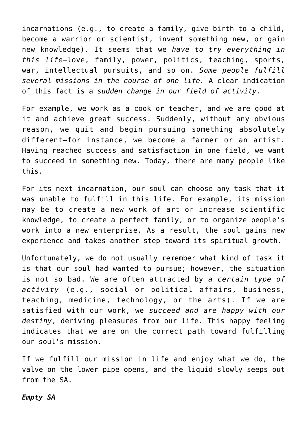incarnations (e.g., to create a family, give birth to a child, become a warrior or scientist, invent something new, or gain new knowledge). It seems that we *have to try everything in this life*—love, family, power, politics, teaching, sports, war, intellectual pursuits, and so on. *Some people fulfill several missions in the course of one life.* A clear indication of this fact is a *sudden change in our field of activity.*

For example, we work as a cook or teacher, and we are good at it and achieve great success. Suddenly, without any obvious reason, we quit and begin pursuing something absolutely different—for instance, we become a farmer or an artist. Having reached success and satisfaction in one field, we want to succeed in something new. Today, there are many people like this.

For its next incarnation, our soul can choose any task that it was unable to fulfill in this life. For example, its mission may be to create a new work of art or increase scientific knowledge, to create a perfect family, or to organize people's work into a new enterprise. As a result, the soul gains new experience and takes another step toward its spiritual growth.

Unfortunately, we do not usually remember what kind of task it is that our soul had wanted to pursue; however, the situation is not so bad. We are often attracted by *a certain type of activity* (e.g., social or political affairs, business, teaching, medicine, technology, or the arts). If we are satisfied with our work, we *succeed and are happy with our destiny*, deriving pleasures from our life. This happy feeling indicates that we are on the correct path toward fulfilling our soul's mission.

If we fulfill our mission in life and enjoy what we do, the valve on the lower pipe opens, and the liquid slowly seeps out from the SA.

### *Empty SA*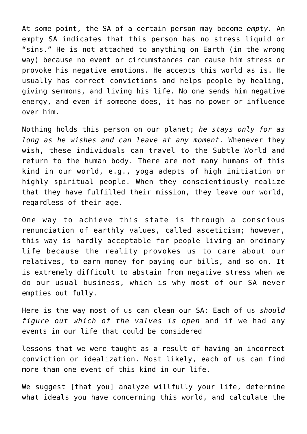At some point, the SA of a certain person may become *empty.* An empty SA indicates that this person has no stress liquid or "sins." He is not attached to anything on Earth (in the wrong way) because no event or circumstances can cause him stress or provoke his negative emotions. He accepts this world as is. He usually has correct convictions and helps people by healing, giving sermons, and living his life. No one sends him negative energy, and even if someone does, it has no power or influence over him.

Nothing holds this person on our planet; *he stays only for as long as he wishes and can leave at any moment.* Whenever they wish, these individuals can travel to the Subtle World and return to the human body. There are not many humans of this kind in our world, e.g., yoga adepts of high initiation or highly spiritual people. When they conscientiously realize that they have fulfilled their mission, they leave our world, regardless of their age.

One way to achieve this state is through a conscious renunciation of earthly values, called asceticism; however, this way is hardly acceptable for people living an ordinary life because the reality provokes us to care about our relatives, to earn money for paying our bills, and so on. It is extremely difficult to abstain from negative stress when we do our usual business, which is why most of our SA never empties out fully.

Here is the way most of us can clean our SA: Each of us *should figure out which of the valves is open* and if we had any events in our life that could be considered

lessons that we were taught as a result of having an incorrect conviction or idealization. Most likely, each of us can find more than one event of this kind in our life.

We suggest [that you] analyze willfully your life, determine what ideals you have concerning this world, and calculate the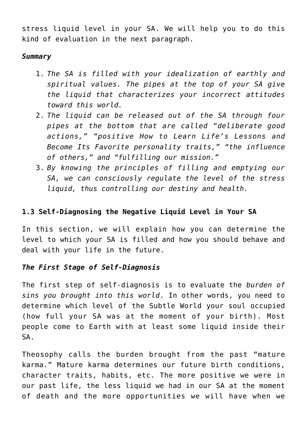stress liquid level in your SA. We will help you to do this kind of evaluation in the next paragraph.

## *Summary*

- 1. *The SA is filled with your idealization of earthly and spiritual values. The pipes at the top of your SA give the liquid that characterizes your incorrect attitudes toward this world.*
- 2. *The liquid can be released out of the SA through four pipes at the bottom that are called "deliberate good actions," "positive How to Learn Life's Lessons and Become Its Favorite personality traits," "the influence of others," and "fulfilling our mission."*
- 3. *By knowing the principles of filling and emptying our SA, we can consciously regulate the level of the stress liquid, thus controlling our destiny and health.*

# **1.3 Self-Diagnosing the Negative Liquid Level in Your SA**

In this section, we will explain how you can determine the level to which your SA is filled and how you should behave and deal with your life in the future.

# *The First Stage of Self-Diagnosis*

The first step of self-diagnosis is to evaluate the *burden of sins you brought into this world*. In other words, you need to determine which level of the Subtle World your soul occupied (how full your SA was at the moment of your birth). Most people come to Earth with at least some liquid inside their SA.

Theosophy calls the burden brought from the past "mature karma." Mature karma determines our future birth conditions, character traits, habits, etc. The more positive we were in our past life, the less liquid we had in our SA at the moment of death and the more opportunities we will have when we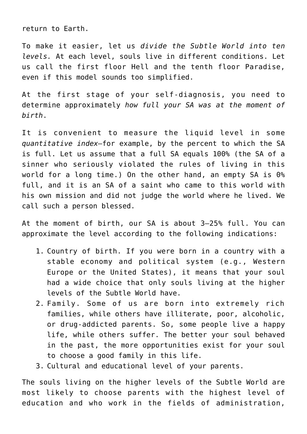return to Earth.

To make it easier, let us *divide the Subtle World into ten levels.* At each level, souls live in different conditions. Let us call the first floor Hell and the tenth floor Paradise, even if this model sounds too simplified.

At the first stage of your self-diagnosis, you need to determine approximately *how full your SA was at the moment of birth*.

It is convenient to measure the liquid level in some *quantitative index—*for example, by the percent to which the SA is full. Let us assume that a full SA equals 100% (the SA of a sinner who seriously violated the rules of living in this world for a long time.) On the other hand, an empty SA is 0% full, and it is an SA of a saint who came to this world with his own mission and did not judge the world where he lived. We call such a person blessed.

At the moment of birth, our SA is about 3–25% full. You can approximate the level according to the following indications:

- 1. Country of birth. If you were born in a country with a stable economy and political system (e.g., Western Europe or the United States), it means that your soul had a wide choice that only souls living at the higher levels of the Subtle World have.
- 2. Family. Some of us are born into extremely rich families, while others have illiterate, poor, alcoholic, or drug-addicted parents. So, some people live a happy life, while others suffer. The better your soul behaved in the past, the more opportunities exist for your soul to choose a good family in this life.
- 3. Cultural and educational level of your parents.

The souls living on the higher levels of the Subtle World are most likely to choose parents with the highest level of education and who work in the fields of administration,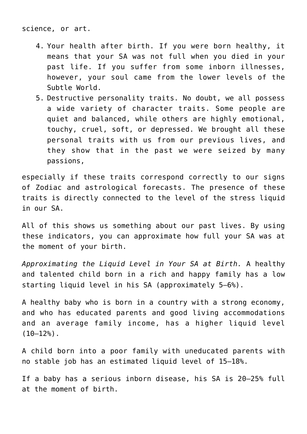- 4. Your health after birth. If you were born healthy, it means that your SA was not full when you died in your past life. If you suffer from some inborn illnesses, however, your soul came from the lower levels of the Subtle World.
- 5. Destructive personality traits. No doubt, we all possess a wide variety of character traits. Some people are quiet and balanced, while others are highly emotional, touchy, cruel, soft, or depressed. We brought all these personal traits with us from our previous lives, and they show that in the past we were seized by many passions,

especially if these traits correspond correctly to our signs of Zodiac and astrological forecasts. The presence of these traits is directly connected to the level of the stress liquid in our SA.

All of this shows us something about our past lives. By using these indicators, you can approximate how full your SA was at the moment of your birth.

*Approximating the Liquid Level in Your SA at Birth.* A healthy and talented child born in a rich and happy family has a low starting liquid level in his SA (approximately 5–6%).

A healthy baby who is born in a country with a strong economy, and who has educated parents and good living accommodations and an average family income, has a higher liquid level  $(10-12)$ .

A child born into a poor family with uneducated parents with no stable job has an estimated liquid level of 15–18%.

If a baby has a serious inborn disease, his SA is 20–25% full at the moment of birth.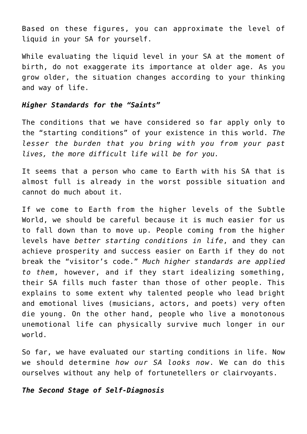Based on these figures, you can approximate the level of liquid in your SA for yourself.

While evaluating the liquid level in your SA at the moment of birth, do not exaggerate its importance at older age*.* As you grow older, the situation changes according to your thinking and way of life.

## *Higher Standards for the "Saints"*

The conditions that we have considered so far apply only to the "starting conditions" of your existence in this world. *The lesser the burden that you bring with you from your past lives, the more difficult life will be for you.*

It seems that a person who came to Earth with his SA that is almost full is already in the worst possible situation and cannot do much about it.

If we come to Earth from the higher levels of the Subtle World, we should be careful because it is much easier for us to fall down than to move up. People coming from the higher levels have *better starting conditions in life*, and they can achieve prosperity and success easier on Earth if they do not break the "visitor's code." *Much higher standards are applied to them*, however, and if they start idealizing something, their SA fills much faster than those of other people. This explains to some extent why talented people who lead bright and emotional lives (musicians, actors, and poets) very often die young. On the other hand, people who live a monotonous unemotional life can physically survive much longer in our world.

So far, we have evaluated our starting conditions in life. Now we should determine *how our SA looks now*. We can do this ourselves without any help of fortunetellers or clairvoyants.

### *The Second Stage of Self-Diagnosis*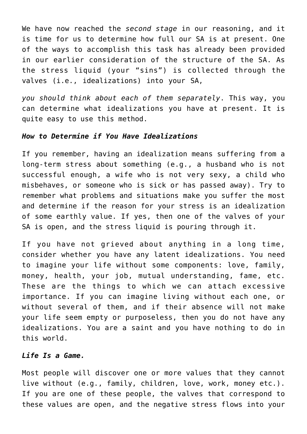We have now reached the *second stage* in our reasoning, and it is time for us to determine how full our SA is at present. One of the ways to accomplish this task has already been provided in our earlier consideration of the structure of the SA. As the stress liquid (your "sins") is collected through the valves (i.e., idealizations) into your SA,

*you should think about each of them separately*. This way, you can determine what idealizations you have at present. It is quite easy to use this method.

## *How to Determine if You Have Idealizations*

If you remember, having an idealization means suffering from a long-term stress about something (e.g., a husband who is not successful enough, a wife who is not very sexy, a child who misbehaves, or someone who is sick or has passed away). Try to remember what problems and situations make you suffer the most and determine if the reason for your stress is an idealization of some earthly value. If yes, then one of the valves of your SA is open, and the stress liquid is pouring through it.

If you have not grieved about anything in a long time, consider whether you have any latent idealizations. You need to imagine your life without some components: love, family, money, health, your job, mutual understanding, fame, etc. These are the things to which we can attach excessive importance. If you can imagine living without each one, or without several of them, and if their absence will not make your life seem empty or purposeless, then you do not have any idealizations. You are a saint and you have nothing to do in this world.

# *Life Is a Game.*

Most people will discover one or more values that they cannot live without (e.g., family, children, love, work, money etc.). If you are one of these people, the valves that correspond to these values are open, and the negative stress flows into your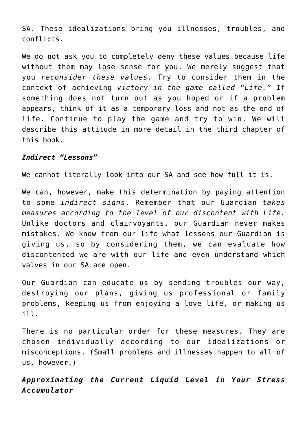SA. These idealizations bring you illnesses, troubles, and conflicts.

We do not ask you to completely deny these values because life without them may lose sense for you. We merely suggest that you *reconsider these values*. Try to consider them in the context of achieving *victory in the game called "Life."* If something does not turn out as you hoped or if a problem appears, think of it as a temporary loss and not as the end of life. Continue to play the game and try to win. We will describe this attitude in more detail in the third chapter of this book.

### *Indirect "Lessons"*

We cannot literally look into our SA and see how full it is.

We can, however, make this determination by paying attention to some *indirect signs*. Remember that our Guardian *takes measures according to the level of our discontent with Life.* Unlike doctors and clairvoyants, our Guardian never makes mistakes. We know from our life what lessons our Guardian is giving us, so by considering them, we can evaluate how discontented we are with our life and even understand which valves in our SA are open.

Our Guardian can educate us by sending troubles our way, destroying our plans, giving us professional or family problems, keeping us from enjoying a love life, or making us ill.

There is no particular order for these measures. They are chosen individually according to our idealizations or misconceptions. (Small problems and illnesses happen to all of us, however.)

*Approximating the Current Liquid Level in Your Stress Accumulator*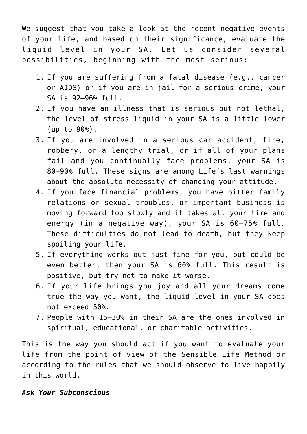We suggest that you take a look at the recent negative events of your life, and based on their significance, evaluate the liquid level in your SA. Let us consider several possibilities, beginning with the most serious:

- 1. If you are suffering from a fatal disease (e.g., cancer or AIDS) or if you are in jail for a serious crime, your SA is 92–96% full.
- 2. If you have an illness that is serious but not lethal, the level of stress liquid in your SA is a little lower (up to 90%).
- 3. If you are involved in a serious car accident, fire, robbery, or a lengthy trial, or if all of your plans fail and you continually face problems, your SA is 80–90% full. These signs are among Life's last warnings about the absolute necessity of changing your attitude.
- 4. If you face financial problems, you have bitter family relations or sexual troubles, or important business is moving forward too slowly and it takes all your time and energy (in a negative way), your SA is 60–75% full. These difficulties do not lead to death, but they keep spoiling your life.
- 5. If everything works out just fine for you, but could be even better, then your SA is 60% full. This result is positive, but try not to make it worse.
- 6. If your life brings you joy and all your dreams come true the way you want, the liquid level in your SA does not exceed 50%.
- 7. People with 15–30% in their SA are the ones involved in spiritual, educational, or charitable activities.

This is the way you should act if you want to evaluate your life from the point of view of the Sensible Life Method or according to the rules that we should observe to live happily in this world.

# *Ask Your Subconscious*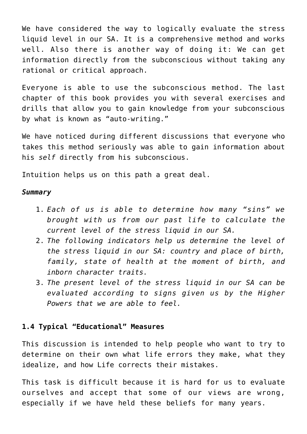We have considered the way to logically evaluate the stress liquid level in our SA. It is a comprehensive method and works well. Also there is another way of doing it: We can get information directly from the subconscious without taking any rational or critical approach.

Everyone is able to use the subconscious method. The last chapter of this book provides you with several exercises and drills that allow you to gain knowledge from your subconscious by what is known as "auto-writing."

We have noticed during different discussions that everyone who takes this method seriously was able to gain information about his *self* directly from his subconscious.

Intuition helps us on this path a great deal.

## *Summary*

- 1. *Each of us is able to determine how many "sins" we brought with us from our past life to calculate the current level of the stress liquid in our SA.*
- 2. *The following indicators help us determine the level of the stress liquid in our SA: country and place of birth, family, state of health at the moment of birth, and inborn character traits.*
- 3. *The present level of the stress liquid in our SA can be evaluated according to signs given us by the Higher Powers that we are able to feel.*

# **1.4 Typical "Educational" Measures**

This discussion is intended to help people who want to try to determine on their own what life errors they make, what they idealize, and how Life corrects their mistakes.

This task is difficult because it is hard for us to evaluate ourselves and accept that some of our views are wrong, especially if we have held these beliefs for many years.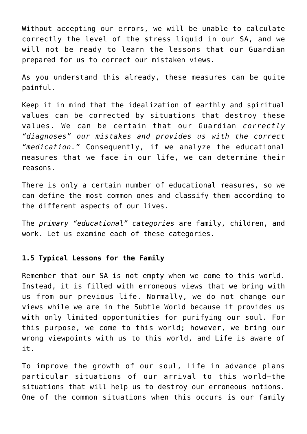Without accepting our errors, we will be unable to calculate correctly the level of the stress liquid in our SA, and we will not be ready to learn the lessons that our Guardian prepared for us to correct our mistaken views.

As you understand this already, these measures can be quite painful.

Keep it in mind that the idealization of earthly and spiritual values can be corrected by situations that destroy these values. We can be certain that our Guardian *correctly "diagnoses" our mistakes and provides us with the correct "medication."* Consequently, if we analyze the educational measures that we face in our life, we can determine their reasons.

There is only a certain number of educational measures, so we can define the most common ones and classify them according to the different aspects of our lives.

The *primary "educational" categories* are family, children, and work. Let us examine each of these categories.

## **1.5 Typical Lessons for the Family**

Remember that our SA is not empty when we come to this world. Instead, it is filled with erroneous views that we bring with us from our previous life. Normally, we do not change our views while we are in the Subtle World because it provides us with only limited opportunities for purifying our soul. For this purpose, we come to this world; however, we bring our wrong viewpoints with us to this world, and Life is aware of it.

To improve the growth of our soul, Life in advance plans particular situations of our arrival to this world—the situations that will help us to destroy our erroneous notions. One of the common situations when this occurs is our family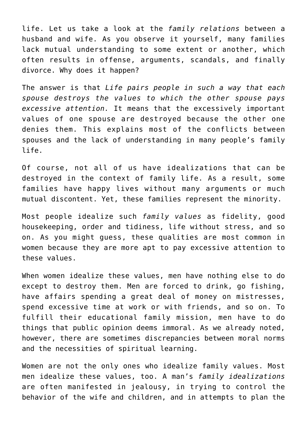life. Let us take a look at the *family relations* between a husband and wife. As you observe it yourself, many families lack mutual understanding to some extent or another, which often results in offense, arguments, scandals, and finally divorce. Why does it happen?

The answer is that *Life pairs people in such a way that each spouse destroys the values to which the other spouse pays excessive attention.* It means that the excessively important values of one spouse are destroyed because the other one denies them. This explains most of the conflicts between spouses and the lack of understanding in many people's family life.

Of course, not all of us have idealizations that can be destroyed in the context of family life. As a result, some families have happy lives without many arguments or much mutual discontent. Yet, these families represent the minority.

Most people idealize such *family values* as fidelity, good housekeeping, order and tidiness, life without stress, and so on. As you might guess, these qualities are most common in women because they are more apt to pay excessive attention to these values.

When women idealize these values, men have nothing else to do except to destroy them. Men are forced to drink, go fishing, have affairs spending a great deal of money on mistresses, spend excessive time at work or with friends, and so on. To fulfill their educational family mission, men have to do things that public opinion deems immoral. As we already noted, however, there are sometimes discrepancies between moral norms and the necessities of spiritual learning.

Women are not the only ones who idealize family values. Most men idealize these values, too. A man's *family idealizations* are often manifested in jealousy, in trying to control the behavior of the wife and children, and in attempts to plan the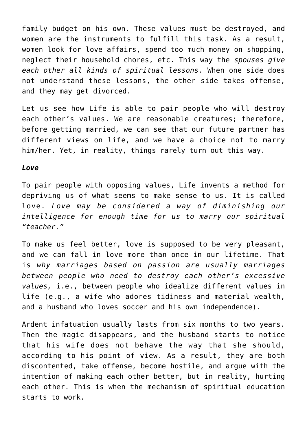family budget on his own. These values must be destroyed, and women are the instruments to fulfill this task. As a result, women look for love affairs, spend too much money on shopping, neglect their household chores, etc. This way the *spouses give each other all kinds of spiritual lessons.* When one side does not understand these lessons, the other side takes offense, and they may get divorced.

Let us see how Life is able to pair people who will destroy each other's values. We are reasonable creatures; therefore, before getting married, we can see that our future partner has different views on life, and we have a choice not to marry him/her. Yet, in reality, things rarely turn out this way.

#### *Love*

To pair people with opposing values, Life invents a method for depriving us of what seems to make sense to us. It is called love. *Love may be considered a way of diminishing our intelligence for enough time for us to marry our spiritual "teacher."*

To make us feel better, love is supposed to be very pleasant, and we can fall in love more than once in our lifetime. That is *why marriages based on passion are usually marriages between people who need to destroy each other's excessive values,* i.e., between people who idealize different values in life (e.g., a wife who adores tidiness and material wealth, and a husband who loves soccer and his own independence).

Ardent infatuation usually lasts from six months to two years. Then the magic disappears, and the husband starts to notice that his wife does not behave the way that she should, according to his point of view. As a result, they are both discontented, take offense, become hostile, and argue with the intention of making each other better, but in reality, hurting each other. This is when the mechanism of spiritual education starts to work.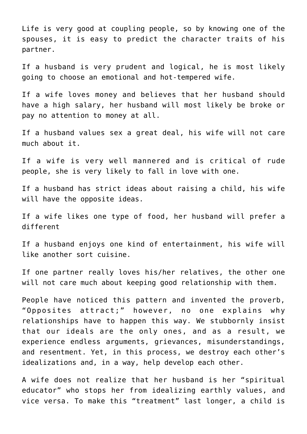Life is very good at coupling people, so by knowing one of the spouses, it is easy to predict the character traits of his partner.

If a husband is very prudent and logical, he is most likely going to choose an emotional and hot-tempered wife.

If a wife loves money and believes that her husband should have a high salary, her husband will most likely be broke or pay no attention to money at all.

If a husband values sex a great deal, his wife will not care much about it.

If a wife is very well mannered and is critical of rude people, she is very likely to fall in love with one.

If a husband has strict ideas about raising a child, his wife will have the opposite ideas.

If a wife likes one type of food, her husband will prefer a different

If a husband enjoys one kind of entertainment, his wife will like another sort cuisine.

If one partner really loves his/her relatives, the other one will not care much about keeping good relationship with them.

People have noticed this pattern and invented the proverb, "Opposites attract;" however, no one explains why relationships have to happen this way. We stubbornly insist that our ideals are the only ones, and as a result, we experience endless arguments, grievances, misunderstandings, and resentment. Yet, in this process, we destroy each other's idealizations and, in a way, help develop each other.

A wife does not realize that her husband is her "spiritual educator" who stops her from idealizing earthly values, and vice versa. To make this "treatment" last longer, a child is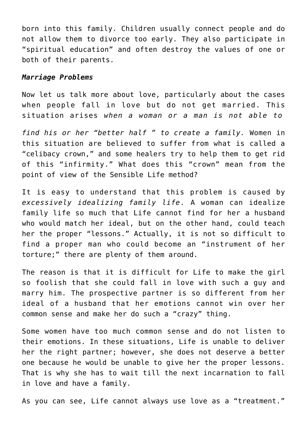born into this family. Children usually connect people and do not allow them to divorce too early. They also participate in "spiritual education" and often destroy the values of one or both of their parents.

#### *Marriage Problems*

Now let us talk more about love, particularly about the cases when people fall in love but do not get married. This situation arises *when a woman or a man is not able to*

*find his or her "better half " to create a family.* Women in this situation are believed to suffer from what is called a "celibacy crown," and some healers try to help them to get rid of this "infirmity." What does this "crown" mean from the point of view of the Sensible Life method?

It is easy to understand that this problem is caused by *excessively idealizing family life*. A woman can idealize family life so much that Life cannot find for her a husband who would match her ideal, but on the other hand, could teach her the proper "lessons." Actually, it is not so difficult to find a proper man who could become an "instrument of her torture;" there are plenty of them around.

The reason is that it is difficult for Life to make the girl so foolish that she could fall in love with such a guy and marry him. The prospective partner is so different from her ideal of a husband that her emotions cannot win over her common sense and make her do such a "crazy" thing.

Some women have too much common sense and do not listen to their emotions. In these situations, Life is unable to deliver her the right partner; however, she does not deserve a better one because he would be unable to give her the proper lessons. That is why she has to wait till the next incarnation to fall in love and have a family.

As you can see, Life cannot always use love as a "treatment."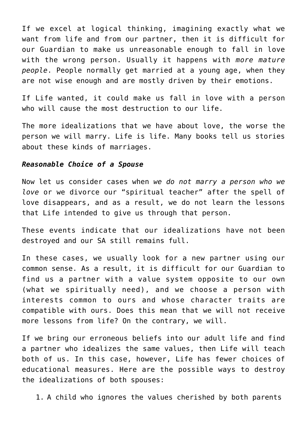If we excel at logical thinking, imagining exactly what we want from life and from our partner, then it is difficult for our Guardian to make us unreasonable enough to fall in love with the wrong person. Usually it happens with *more mature people*. People normally get married at a young age, when they are not wise enough and are mostly driven by their emotions.

If Life wanted, it could make us fall in love with a person who will cause the most destruction to our life.

The more idealizations that we have about love, the worse the person we will marry. Life is life. Many books tell us stories about these kinds of marriages.

#### *Reasonable Choice of a Spouse*

Now let us consider cases when *we do not marry a person who we love* or we divorce our "spiritual teacher" after the spell of love disappears, and as a result, we do not learn the lessons that Life intended to give us through that person.

These events indicate that our idealizations have not been destroyed and our SA still remains full.

In these cases, we usually look for a new partner using our common sense. As a result, it is difficult for our Guardian to find us a partner with a value system opposite to our own (what we spiritually need), and we choose a person with interests common to ours and whose character traits are compatible with ours. Does this mean that we will not receive more lessons from life? On the contrary, we will.

If we bring our erroneous beliefs into our adult life and find a partner who idealizes the same values, then Life will teach both of us. In this case, however, Life has fewer choices of educational measures. Here are the possible ways to destroy the idealizations of both spouses:

1. A child who ignores the values cherished by both parents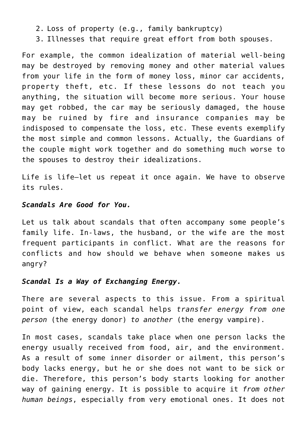- 2. Loss of property (e.g., family bankruptcy)
- 3. Illnesses that require great effort from both spouses.

For example, the common idealization of material well-being may be destroyed by removing money and other material values from your life in the form of money loss, minor car accidents, property theft, etc. If these lessons do not teach you anything, the situation will become more serious. Your house may get robbed, the car may be seriously damaged, the house may be ruined by fire and insurance companies may be indisposed to compensate the loss, etc. These events exemplify the most simple and common lessons. Actually, the Guardians of the couple might work together and do something much worse to the spouses to destroy their idealizations.

Life is life—let us repeat it once again. We have to observe its rules.

### *Scandals Are Good for You.*

Let us talk about scandals that often accompany some people's family life. In-laws, the husband, or the wife are the most frequent participants in conflict. What are the reasons for conflicts and how should we behave when someone makes us angry?

#### *Scandal Is a Way of Exchanging Energy.*

There are several aspects to this issue. From a spiritual point of view, each scandal helps *transfer energy from one person* (the energy donor) *to another* (the energy vampire).

In most cases, scandals take place when one person lacks the energy usually received from food, air, and the environment. As a result of some inner disorder or ailment, this person's body lacks energy, but he or she does not want to be sick or die. Therefore, this person's body starts looking for another way of gaining energy. It is possible to acquire it *from other human beings*, especially from very emotional ones. It does not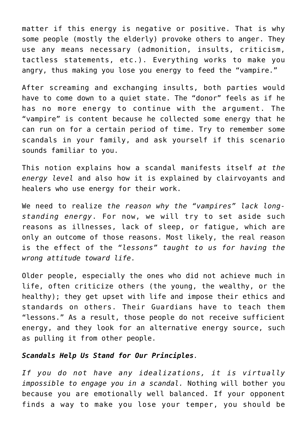matter if this energy is negative or positive. That is why some people (mostly the elderly) provoke others to anger. They use any means necessary (admonition, insults, criticism, tactless statements, etc.). Everything works to make you angry, thus making you lose you energy to feed the "vampire."

After screaming and exchanging insults, both parties would have to come down to a quiet state. The "donor" feels as if he has no more energy to continue with the argument. The "vampire" is content because he collected some energy that he can run on for a certain period of time. Try to remember some scandals in your family, and ask yourself if this scenario sounds familiar to you.

This notion explains how a scandal manifests itself *at the energy level* and also how it is explained by clairvoyants and healers who use energy for their work.

We need to realize *the reason why the "vampires" lack longstanding energy*. For now, we will try to set aside such reasons as illnesses, lack of sleep, or fatigue, which are only an outcome of those reasons. Most likely, the real reason is the effect of the *"lessons" taught to us for having the wrong attitude toward life*.

Older people, especially the ones who did not achieve much in life, often criticize others (the young, the wealthy, or the healthy); they get upset with life and impose their ethics and standards on others. Their Guardians have to teach them "lessons." As a result, those people do not receive sufficient energy, and they look for an alternative energy source, such as pulling it from other people.

## *Scandals Help Us Stand for Our Principles.*

*If you do not have any idealizations, it is virtually impossible to engage you in a scandal.* Nothing will bother you because you are emotionally well balanced. If your opponent finds a way to make you lose your temper, you should be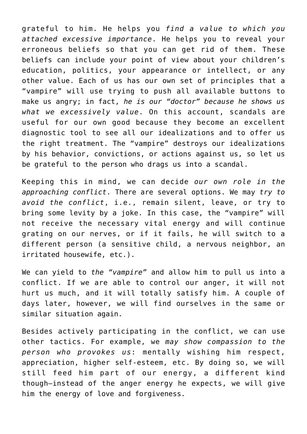grateful to him. He helps you *find a value to which you attached excessive importance*. He helps you to reveal your erroneous beliefs so that you can get rid of them. These beliefs can include your point of view about your children's education, politics, your appearance or intellect, or any other value. Each of us has our own set of principles that a "vampire" will use trying to push all available buttons to make us angry; in fact, *he is our "doctor" because he shows us what we excessively value*. On this account, scandals are useful for our own good because they become an excellent diagnostic tool to see all our idealizations and to offer us the right treatment. The "vampire" destroys our idealizations by his behavior, convictions, or actions against us, so let us be grateful to the person who drags us into a scandal.

Keeping this in mind, we can decide *our own role in the approaching conflict*. There are several options. We may *try to avoid the conflict*, i.e., remain silent, leave, or try to bring some levity by a joke. In this case, the "vampire" will not receive the necessary vital energy and will continue grating on our nerves, or if it fails, he will switch to a different person (a sensitive child, a nervous neighbor, an irritated housewife, etc.).

We can yield to *the "vampire"* and allow him to pull us into a conflict. If we are able to control our anger, it will not hurt us much, and it will totally satisfy him. A couple of days later, however, we will find ourselves in the same or similar situation again.

Besides actively participating in the conflict, we can use other tactics. For example, we *may show compassion to the person who provokes us*: mentally wishing him respect, appreciation, higher self-esteem, etc. By doing so, we will still feed him part of our energy, a different kind though—instead of the anger energy he expects, we will give him the energy of love and forgiveness.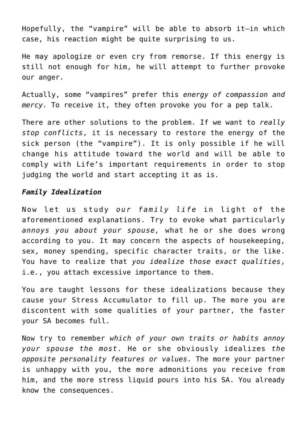Hopefully, the "vampire" will be able to absorb it—in which case, his reaction might be quite surprising to us.

He may apologize or even cry from remorse. If this energy is still not enough for him, he will attempt to further provoke our anger.

Actually, some "vampires" prefer this *energy of compassion and mercy.* To receive it, they often provoke you for a pep talk.

There are other solutions to the problem. If we want to *really stop conflicts*, it is necessary to restore the energy of the sick person (the "vampire"). It is only possible if he will change his attitude toward the world and will be able to comply with Life's important requirements in order to stop judging the world and start accepting it as is.

### *Family Idealization*

Now let us study *our family life* in light of the aforementioned explanations. Try to evoke what particularly *annoys you about your spouse,* what he or she does wrong according to you. It may concern the aspects of housekeeping, sex, money spending, specific character traits, or the like. You have to realize that *you idealize those exact qualities*, i.e., you attach excessive importance to them.

You are taught lessons for these idealizations because they cause your Stress Accumulator to fill up. The more you are discontent with some qualities of your partner, the faster your SA becomes full.

Now try to remember *which of your own traits or habits annoy your spouse the most*. He or she obviously idealizes *the opposite personality features or values*. The more your partner is unhappy with you, the more admonitions you receive from him, and the more stress liquid pours into his SA. You already know the consequences.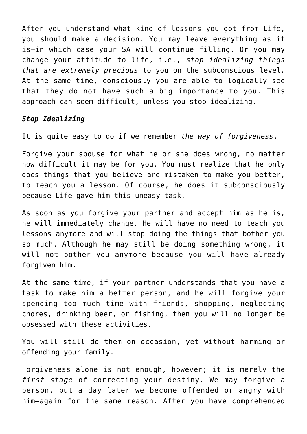After you understand what kind of lessons you got from Life, you should make a decision. You may leave everything as it is—in which case your SA will continue filling. Or you may change your attitude to life, i.e., *stop idealizing things that are extremely precious* to you on the subconscious level. At the same time, consciously you are able to logically see that they do not have such a big importance to you. This approach can seem difficult, unless you stop idealizing.

#### *Stop Idealizing*

It is quite easy to do if we remember *the way of forgiveness*.

Forgive your spouse for what he or she does wrong, no matter how difficult it may be for you. You must realize that he only does things that you believe are mistaken to make you better, to teach you a lesson. Of course, he does it subconsciously because Life gave him this uneasy task.

As soon as you forgive your partner and accept him as he is, he will immediately change. He will have no need to teach you lessons anymore and will stop doing the things that bother you so much. Although he may still be doing something wrong, it will not bother you anymore because you will have already forgiven him.

At the same time, if your partner understands that you have a task to make him a better person, and he will forgive your spending too much time with friends, shopping, neglecting chores, drinking beer, or fishing, then you will no longer be obsessed with these activities.

You will still do them on occasion, yet without harming or offending your family.

Forgiveness alone is not enough, however; it is merely the *first stage* of correcting your destiny. We may forgive a person, but a day later we become offended or angry with him—again for the same reason. After you have comprehended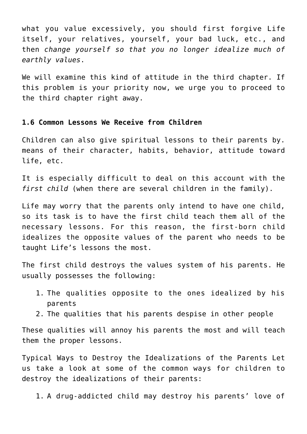what you value excessively, you should first forgive Life itself, your relatives, yourself, your bad luck, etc., and then *change yourself so that you no longer idealize much of earthly values*.

We will examine this kind of attitude in the third chapter. If this problem is your priority now, we urge you to proceed to the third chapter right away.

## **1.6 Common Lessons We Receive from Children**

Children can also give spiritual lessons to their parents by. means of their character, habits, behavior, attitude toward life, etc.

It is especially difficult to deal on this account with the *first child* (when there are several children in the family).

Life may worry that the parents only intend to have one child, so its task is to have the first child teach them all of the necessary lessons. For this reason, the first-born child idealizes the opposite values of the parent who needs to be taught Life's lessons the most.

The first child destroys the values system of his parents. He usually possesses the following:

- 1. The qualities opposite to the ones idealized by his parents
- 2. The qualities that his parents despise in other people

These qualities will annoy his parents the most and will teach them the proper lessons.

Typical Ways to Destroy the Idealizations of the Parents Let us take a look at some of the common ways for children to destroy the idealizations of their parents:

1. A drug-addicted child may destroy his parents' love of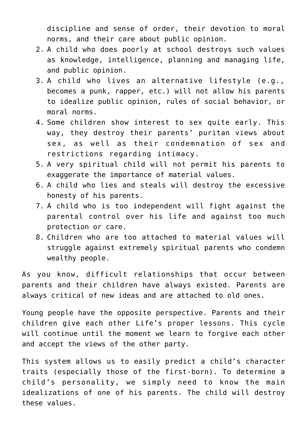discipline and sense of order, their devotion to moral norms, and their care about public opinion.

- 2. A child who does poorly at school destroys such values as knowledge, intelligence, planning and managing life, and public opinion.
- 3. A child who lives an alternative lifestyle (e.g., becomes a punk, rapper, etc.) will not allow his parents to idealize public opinion, rules of social behavior, or moral norms.
- 4. Some children show interest to sex quite early. This way, they destroy their parents' puritan views about sex, as well as their condemnation of sex and restrictions regarding intimacy.
- 5. A very spiritual child will not permit his parents to exaggerate the importance of material values.
- 6. A child who lies and steals will destroy the excessive honesty of his parents.
- 7. A child who is too independent will fight against the parental control over his life and against too much protection or care.
- 8. Children who are too attached to material values will struggle against extremely spiritual parents who condemn wealthy people.

As you know, difficult relationships that occur between parents and their children have always existed. Parents are always critical of new ideas and are attached to old ones.

Young people have the opposite perspective. Parents and their children give each other Life's proper lessons. This cycle will continue until the moment we learn to forgive each other and accept the views of the other party.

This system allows us to easily predict a child's character traits (especially those of the first-born). To determine a child's personality, we simply need to know the main idealizations of one of his parents. The child will destroy these values.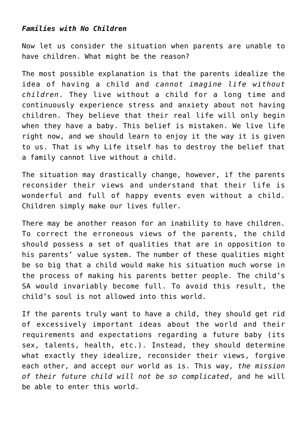## *Families with No Children*

Now let us consider the situation when parents are unable to have children. What might be the reason?

The most possible explanation is that the parents idealize the idea of having a child and *cannot imagine life without children*. They live without a child for a long time and continuously experience stress and anxiety about not having children. They believe that their real life will only begin when they have a baby. This belief is mistaken. We live life right now, and we should learn to enjoy it the way it is given to us. That is why Life itself has to destroy the belief that a family cannot live without a child.

The situation may drastically change, however, if the parents reconsider their views and understand that their life is wonderful and full of happy events even without a child. Children simply make our lives fuller.

There may be another reason for an inability to have children. To correct the erroneous views of the parents, the child should possess a set of qualities that are in opposition to his parents' value system. The number of these qualities might be so big that a child would make his situation much worse in the process of making his parents better people. The child's SA would invariably become full. To avoid this result, the child's soul is not allowed into this world.

If the parents truly want to have a child, they should get rid of excessively important ideas about the world and their requirements and expectations regarding a future baby (its sex, talents, health, etc.). Instead, they should determine what exactly they idealize, reconsider their views, forgive each other, and accept our world as is. This way, *the mission of their future child will not be so complicated*, and he will be able to enter this world.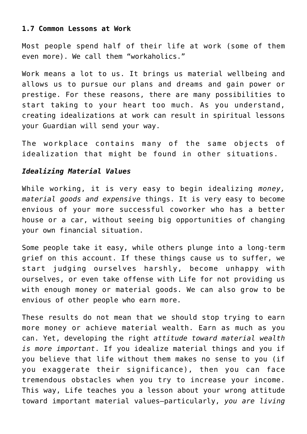### **1.7 Common Lessons at Work**

Most people spend half of their life at work (some of them even more). We call them "workaholics."

Work means a lot to us. It brings us material wellbeing and allows us to pursue our plans and dreams and gain power or prestige. For these reasons, there are many possibilities to start taking to your heart too much. As you understand, creating idealizations at work can result in spiritual lessons your Guardian will send your way.

The workplace contains many of the same objects of idealization that might be found in other situations.

### *Idealizing Material Values*

While working, it is very easy to begin idealizing *money, material goods and expensive* things. It is very easy to become envious of your more successful coworker who has a better house or a car, without seeing big opportunities of changing your own financial situation.

Some people take it easy, while others plunge into a long-term grief on this account. If these things cause us to suffer, we start judging ourselves harshly, become unhappy with ourselves, or even take offense with Life for not providing us with enough money or material goods. We can also grow to be envious of other people who earn more.

These results do not mean that we should stop trying to earn more money or achieve material wealth. Earn as much as you can. Yet, developing the right *attitude toward material wealth is more important*. If you idealize material things and you if you believe that life without them makes no sense to you (if you exaggerate their significance), then you can face tremendous obstacles when you try to increase your income. This way, Life teaches you a lesson about your wrong attitude toward important material values—particularly, *you are living*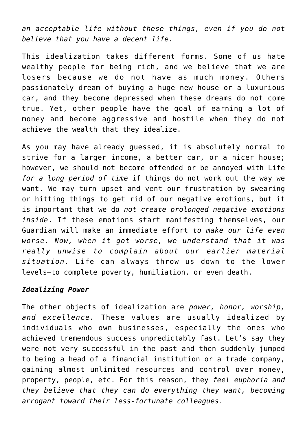*an acceptable life without these things, even if you do not believe that you have a decent life.*

This idealization takes different forms. Some of us hate wealthy people for being rich, and we believe that we are losers because we do not have as much money. Others passionately dream of buying a huge new house or a luxurious car, and they become depressed when these dreams do not come true. Yet, other people have the goal of earning a lot of money and become aggressive and hostile when they do not achieve the wealth that they idealize.

As you may have already guessed, it is absolutely normal to strive for a larger income, a better car, or a nicer house; however, we should not become offended or be annoyed with Life *for a long period of time* if things do not work out the way we want. We may turn upset and vent our frustration by swearing or hitting things to get rid of our negative emotions, but it is important that we do *not create prolonged negative emotions inside*. If these emotions start manifesting themselves, our Guardian will make an immediate effort *to make our life even worse. Now, when it got worse, we understand that it was really unwise to complain about our earlier material situation.* Life can always throw us down to the lower levels—to complete poverty, humiliation, or even death.

## *Idealizing Power*

The other objects of idealization are *power, honor, worship, and excellence.* These values are usually idealized by individuals who own businesses, especially the ones who achieved tremendous success unpredictably fast. Let's say they were not very successful in the past and then suddenly jumped to being a head of a financial institution or a trade company, gaining almost unlimited resources and control over money, property, people, etc. For this reason, they *feel euphoria and they believe that they can do everything they want, becoming arrogant toward their less-fortunate colleagues*.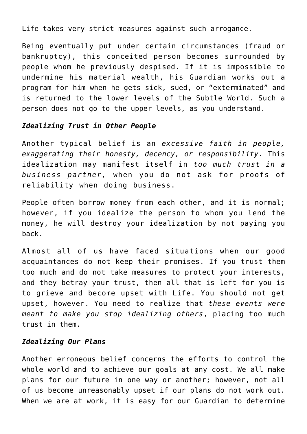Life takes very strict measures against such arrogance.

Being eventually put under certain circumstances (fraud or bankruptcy), this conceited person becomes surrounded by people whom he previously despised. If it is impossible to undermine his material wealth, his Guardian works out a program for him when he gets sick, sued, or "exterminated" and is returned to the lower levels of the Subtle World. Such a person does not go to the upper levels, as you understand.

## *Idealizing Trust in Other People*

Another typical belief is an *excessive faith in people, exaggerating their honesty, decency, or responsibility*. This idealization may manifest itself in *too much trust in a business partner,* when you do not ask for proofs of reliability when doing business.

People often borrow money from each other, and it is normal; however, if you idealize the person to whom you lend the money, he will destroy your idealization by not paying you back.

Almost all of us have faced situations when our good acquaintances do not keep their promises. If you trust them too much and do not take measures to protect your interests, and they betray your trust, then all that is left for you is to grieve and become upset with Life. You should not get upset, however. You need to realize that *these events were meant to make you stop idealizing others*, placing too much trust in them.

# *Idealizing Our Plans*

Another erroneous belief concerns the efforts to control the whole world and to achieve our goals at any cost. We all make plans for our future in one way or another; however, not all of us become unreasonably upset if our plans do not work out. When we are at work, it is easy for our Guardian to determine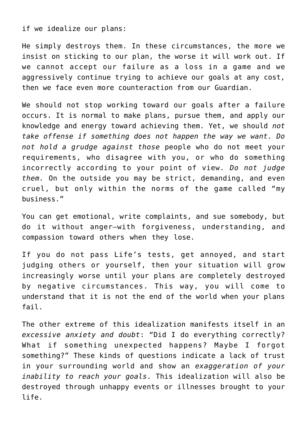if we idealize our plans:

He simply destroys them. In these circumstances, the more we insist on sticking to our plan, the worse it will work out. If we cannot accept our failure as a loss in a game and we aggressively continue trying to achieve our goals at any cost, then we face even more counteraction from our Guardian.

We should not stop working toward our goals after a failure occurs. It is normal to make plans, pursue them, and apply our knowledge and energy toward achieving them. Yet, we should *not take offense if something does not happen the way we want. Do not hold a grudge against those* people who do not meet your requirements, who disagree with you, or who do something incorrectly according to your point of view. *Do not judge them.* On the outside you may be strict, demanding, and even cruel, but only within the norms of the game called "my business."

You can get emotional, write complaints, and sue somebody, but do it without anger—with forgiveness, understanding, and compassion toward others when they lose.

If you do not pass Life's tests, get annoyed, and start judging others or yourself, then your situation will grow increasingly worse until your plans are completely destroyed by negative circumstances. This way, you will come to understand that it is not the end of the world when your plans fail.

The other extreme of this idealization manifests itself in an *excessive anxiety and doubt*: "Did I do everything correctly? What if something unexpected happens? Maybe I forgot something?" These kinds of questions indicate a lack of trust in your surrounding world and show an *exaggeration of your inability to reach your goals*. This idealization will also be destroyed through unhappy events or illnesses brought to your life.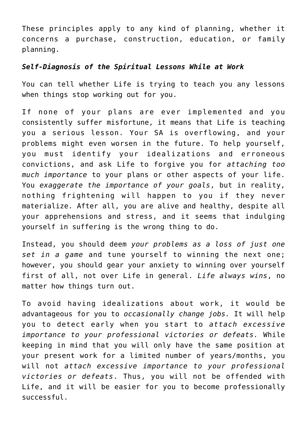These principles apply to any kind of planning, whether it concerns a purchase, construction, education, or family planning.

# *Self-Diagnosis of the Spiritual Lessons While at Work*

You can tell whether Life is trying to teach you any lessons when things stop working out for you.

If none of your plans are ever implemented and you consistently suffer misfortune, it means that Life is teaching you a serious lesson. Your SA is overflowing, and your problems might even worsen in the future. To help yourself, you must identify your idealizations and erroneous convictions, and ask Life to forgive you for *attaching too much importance* to your plans or other aspects of your life. You *exaggerate the importance of your goals*, but in reality, nothing frightening will happen to you if they never materialize. After all, you are alive and healthy, despite all your apprehensions and stress, and it seems that indulging yourself in suffering is the wrong thing to do.

Instead, you should deem *your problems as a loss of just one set in a game* and tune yourself to winning the next one; however, you should gear your anxiety to winning over yourself first of all, not over Life in general. *Life always wins*, no matter how things turn out.

To avoid having idealizations about work, it would be advantageous for you to *occasionally change jobs.* It will help you to detect early when you start to *attach excessive importance to your professional victories or defeats.* While keeping in mind that you will only have the same position at your present work for a limited number of years/months, you will not *attach excessive importance to your professional victories or defeats*. Thus, you will not be offended with Life, and it will be easier for you to become professionally successful.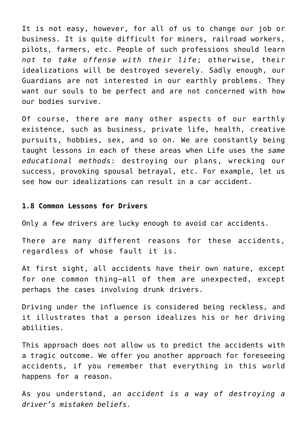It is not easy, however, for all of us to change our job or business. It is quite difficult for miners, railroad workers, pilots, farmers, etc. People of such professions should learn *not to take offense with their life*; otherwise, their idealizations will be destroyed severely. Sadly enough, our Guardians are not interested in our earthly problems. They want our souls to be perfect and are not concerned with how our bodies survive.

Of course, there are many other aspects of our earthly existence, such as business, private life, health, creative pursuits, hobbies, sex, and so on. We are constantly being taught lessons in each of these areas when Life uses the *same educational methods*: destroying our plans, wrecking our success, provoking spousal betrayal, etc. For example, let us see how our idealizations can result in a car accident.

#### **1.8 Common Lessons for Drivers**

Only a few drivers are lucky enough to avoid car accidents.

There are many different reasons for these accidents, regardless of whose fault it is.

At first sight, all accidents have their own nature, except for one common thing—all of them are unexpected, except perhaps the cases involving drunk drivers.

Driving under the influence is considered being reckless, and it illustrates that a person idealizes his or her driving abilities.

This approach does not allow us to predict the accidents with a tragic outcome. We offer you another approach for foreseeing accidents, if you remember that everything in this world happens for a reason.

As you understand, *an accident is a way of destroying a driver's mistaken beliefs.*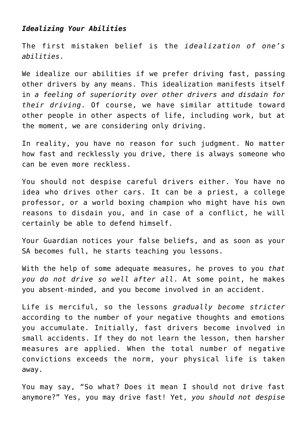## *Idealizing Your Abilities*

The first mistaken belief is the *idealization of one's abilities*.

We idealize our abilities if we prefer driving fast, passing other drivers by any means. This idealization manifests itself in *a feeling of superiority over other drivers and disdain for their driving*. Of course, we have similar attitude toward other people in other aspects of life, including work, but at the moment, we are considering only driving.

In reality, you have no reason for such judgment. No matter how fast and recklessly you drive, there is always someone who can be even more reckless.

You should not despise careful drivers either. You have no idea who drives other cars. It can be a priest, a college professor, or a world boxing champion who might have his own reasons to disdain you, and in case of a conflict, he will certainly be able to defend himself.

Your Guardian notices your false beliefs, and as soon as your SA becomes full, he starts teaching you lessons.

With the help of some adequate measures, he proves to you *that you do not drive so well after all*. At some point, he makes you absent-minded, and you become involved in an accident.

Life is merciful, so the lessons *gradually become stricter* according to the number of your negative thoughts and emotions you accumulate. Initially, fast drivers become involved in small accidents. If they do not learn the lesson, then harsher measures are applied. When the total number of negative convictions exceeds the norm, your physical life is taken away.

You may say, "So what? Does it mean I should not drive fast anymore?" Yes, you may drive fast! Yet, *you should not despise*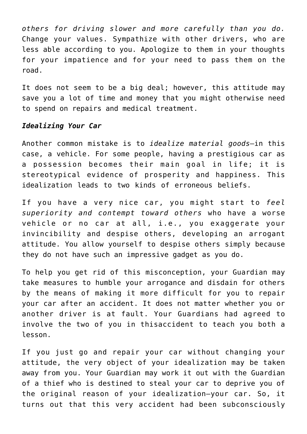*others for driving slower and more carefully than you do.* Change your values. Sympathize with other drivers, who are less able according to you. Apologize to them in your thoughts for your impatience and for your need to pass them on the road.

It does not seem to be a big deal; however, this attitude may save you a lot of time and money that you might otherwise need to spend on repairs and medical treatment.

## *Idealizing Your Car*

Another common mistake is to *idealize material goods*—in this case, a vehicle. For some people, having a prestigious car as a possession becomes their main goal in life; it is stereotypical evidence of prosperity and happiness. This idealization leads to two kinds of erroneous beliefs.

If you have a very nice car, you might start to *feel superiority and contempt toward others* who have a worse vehicle or no car at all, i.e., you exaggerate your invincibility and despise others, developing an arrogant attitude. You allow yourself to despise others simply because they do not have such an impressive gadget as you do.

To help you get rid of this misconception, your Guardian may take measures to humble your arrogance and disdain for others by the means of making it more difficult for you to repair your car after an accident. It does not matter whether you or another driver is at fault. Your Guardians had agreed to involve the two of you in thisaccident to teach you both a lesson.

If you just go and repair your car without changing your attitude, the very object of your idealization may be taken away from you. Your Guardian may work it out with the Guardian of a thief who is destined to steal your car to deprive you of the original reason of your idealization—your car. So, it turns out that this very accident had been subconsciously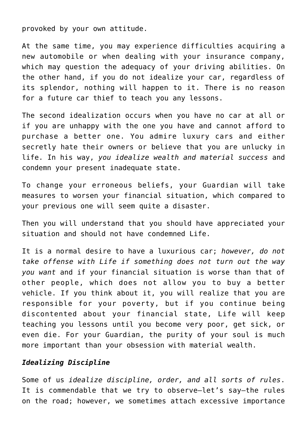provoked by your own attitude.

At the same time, you may experience difficulties acquiring a new automobile or when dealing with your insurance company, which may question the adequacy of your driving abilities. On the other hand, if you do not idealize your car, regardless of its splendor, nothing will happen to it. There is no reason for a future car thief to teach you any lessons.

The second idealization occurs when you have no car at all or if you are unhappy with the one you have and cannot afford to purchase a better one. You admire luxury cars and either secretly hate their owners or believe that you are unlucky in life. In his way, *you idealize wealth and material success* and condemn your present inadequate state.

To change your erroneous beliefs, your Guardian will take measures to worsen your financial situation, which compared to your previous one will seem quite a disaster.

Then you will understand that you should have appreciated your situation and should not have condemned Life.

It is a normal desire to have a luxurious car; *however, do not take offense with Life if something does not turn out the way you want* and if your financial situation is worse than that of other people, which does not allow you to buy a better vehicle. If you think about it, you will realize that you are responsible for your poverty, but if you continue being discontented about your financial state, Life will keep teaching you lessons until you become very poor, get sick, or even die. For your Guardian, the purity of your soul is much more important than your obsession with material wealth.

# *Idealizing Discipline*

Some of us *idealize discipline, order, and all sorts of rules*. It is commendable that we try to observe—let's say—the rules on the road; however, we sometimes attach excessive importance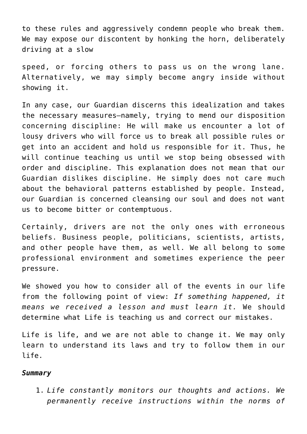to these rules and aggressively condemn people who break them. We may expose our discontent by honking the horn, deliberately driving at a slow

speed, or forcing others to pass us on the wrong lane. Alternatively, we may simply become angry inside without showing it.

In any case, our Guardian discerns this idealization and takes the necessary measures—namely, trying to mend our disposition concerning discipline: He will make us encounter a lot of lousy drivers who will force us to break all possible rules or get into an accident and hold us responsible for it. Thus, he will continue teaching us until we stop being obsessed with order and discipline. This explanation does not mean that our Guardian dislikes discipline. He simply does not care much about the behavioral patterns established by people. Instead, our Guardian is concerned cleansing our soul and does not want us to become bitter or contemptuous.

Certainly, drivers are not the only ones with erroneous beliefs. Business people, politicians, scientists, artists, and other people have them, as well. We all belong to some professional environment and sometimes experience the peer pressure.

We showed you how to consider all of the events in our life from the following point of view: *If something happened, it means we received a lesson and must learn it.* We should determine what Life is teaching us and correct our mistakes.

Life is life, and we are not able to change it. We may only learn to understand its laws and try to follow them in our life.

#### *Summary*

1. *Life constantly monitors our thoughts and actions. We permanently receive instructions within the norms of*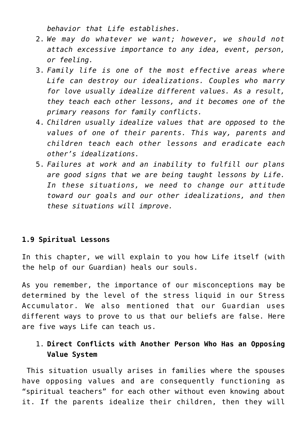*behavior that Life establishes.*

- 2. *We may do whatever we want; however, we should not attach excessive importance to any idea, event, person, or feeling.*
- 3. *Family life is one of the most effective areas where Life can destroy our idealizations. Couples who marry for love usually idealize different values. As a result, they teach each other lessons, and it becomes one of the primary reasons for family conflicts.*
- 4. *Children usually idealize values that are opposed to the values of one of their parents. This way, parents and children teach each other lessons and eradicate each other's idealizations.*
- 5. *Failures at work and an inability to fulfill our plans are good signs that we are being taught lessons by Life. In these situations, we need to change our attitude toward our goals and our other idealizations, and then these situations will improve.*

## **1.9 Spiritual Lessons**

In this chapter, we will explain to you how Life itself (with the help of our Guardian) heals our souls.

As you remember, the importance of our misconceptions may be determined by the level of the stress liquid in our Stress Accumulator. We also mentioned that our Guardian uses different ways to prove to us that our beliefs are false. Here are five ways Life can teach us.

## 1. **Direct Conflicts with Another Person Who Has an Opposing Value System**

 This situation usually arises in families where the spouses have opposing values and are consequently functioning as "spiritual teachers" for each other without even knowing about it. If the parents idealize their children, then they will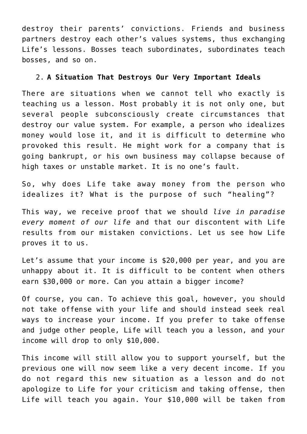destroy their parents' convictions. Friends and business partners destroy each other's values systems, thus exchanging Life's lessons. Bosses teach subordinates, subordinates teach bosses, and so on.

## 2. **A Situation That Destroys Our Very Important Ideals**

There are situations when we cannot tell who exactly is teaching us a lesson. Most probably it is not only one, but several people subconsciously create circumstances that destroy our value system. For example, a person who idealizes money would lose it, and it is difficult to determine who provoked this result. He might work for a company that is going bankrupt, or his own business may collapse because of high taxes or unstable market. It is no one's fault.

So, why does Life take away money from the person who idealizes it? What is the purpose of such "healing"?

This way, we receive proof that we should *live in paradise every moment of our life* and that our discontent with Life results from our mistaken convictions. Let us see how Life proves it to us.

Let's assume that your income is \$20,000 per year, and you are unhappy about it. It is difficult to be content when others earn \$30,000 or more. Can you attain a bigger income?

Of course, you can. To achieve this goal, however, you should not take offense with your life and should instead seek real ways to increase your income. If you prefer to take offense and judge other people, Life will teach you a lesson, and your income will drop to only \$10,000.

This income will still allow you to support yourself, but the previous one will now seem like a very decent income. If you do not regard this new situation as a lesson and do not apologize to Life for your criticism and taking offense, then Life will teach you again. Your \$10,000 will be taken from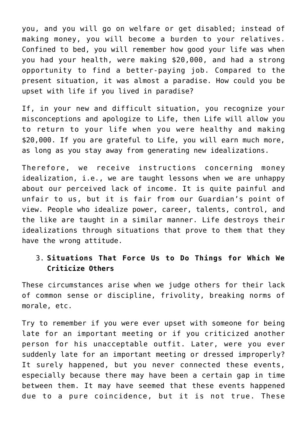you, and you will go on welfare or get disabled; instead of making money, you will become a burden to your relatives. Confined to bed, you will remember how good your life was when you had your health, were making \$20,000, and had a strong opportunity to find a better-paying job. Compared to the present situation, it was almost a paradise. How could you be upset with life if you lived in paradise?

If, in your new and difficult situation, you recognize your misconceptions and apologize to Life, then Life will allow you to return to your life when you were healthy and making \$20,000. If you are grateful to Life, you will earn much more, as long as you stay away from generating new idealizations.

Therefore, we receive instructions concerning money idealization, i.e., we are taught lessons when we are unhappy about our perceived lack of income. It is quite painful and unfair to us, but it is fair from our Guardian's point of view. People who idealize power, career, talents, control, and the like are taught in a similar manner. Life destroys their idealizations through situations that prove to them that they have the wrong attitude.

## 3. **Situations That Force Us to Do Things for Which We Criticize Others**

These circumstances arise when we judge others for their lack of common sense or discipline, frivolity, breaking norms of morale, etc.

Try to remember if you were ever upset with someone for being late for an important meeting or if you criticized another person for his unacceptable outfit. Later, were you ever suddenly late for an important meeting or dressed improperly? It surely happened, but you never connected these events, especially because there may have been a certain gap in time between them. It may have seemed that these events happened due to a pure coincidence, but it is not true. These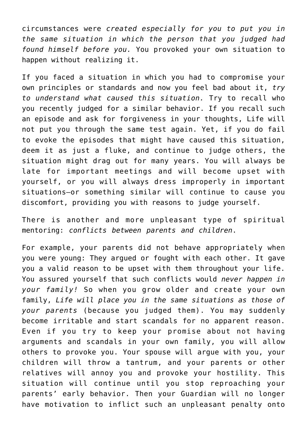circumstances were *created especially for you to put you in the same situation in which the person that you judged had found himself before you.* You provoked your own situation to happen without realizing it.

If you faced a situation in which you had to compromise your own principles or standards and now you feel bad about it, *try to understand what caused this situation.* Try to recall who you recently judged for a similar behavior. If you recall such an episode and ask for forgiveness in your thoughts, Life will not put you through the same test again. Yet, if you do fail to evoke the episodes that might have caused this situation, deem it as just a fluke, and continue to judge others, the situation might drag out for many years. You will always be late for important meetings and will become upset with yourself, or you will always dress improperly in important situations—or something similar will continue to cause you discomfort, providing you with reasons to judge yourself.

There is another and more unpleasant type of spiritual mentoring: *conflicts between parents and children*.

For example, your parents did not behave appropriately when you were young: They argued or fought with each other. It gave you a valid reason to be upset with them throughout your life. You assured yourself that such conflicts would *never happen in your family!* So when you grow older and create your own family, *Life will place you in the same situations as those of your parents* (because you judged them). You may suddenly become irritable and start scandals for no apparent reason. Even if you try to keep your promise about not having arguments and scandals in your own family, you will allow others to provoke you. Your spouse will argue with you, your children will throw a tantrum, and your parents or other relatives will annoy you and provoke your hostility. This situation will continue until you stop reproaching your parents' early behavior. Then your Guardian will no longer have motivation to inflict such an unpleasant penalty onto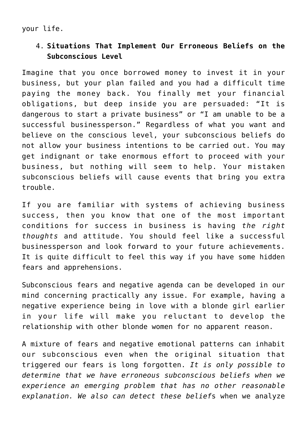your life.

## 4. **Situations That Implement Our Erroneous Beliefs on the Subconscious Level**

Imagine that you once borrowed money to invest it in your business, but your plan failed and you had a difficult time paying the money back. You finally met your financial obligations, but deep inside you are persuaded: "It is dangerous to start a private business" or "I am unable to be a successful businessperson." Regardless of what you want and believe on the conscious level, your subconscious beliefs do not allow your business intentions to be carried out. You may get indignant or take enormous effort to proceed with your business, but nothing will seem to help. Your mistaken subconscious beliefs will cause events that bring you extra trouble.

If you are familiar with systems of achieving business success, then you know that one of the most important conditions for success in business is having *the right thoughts* and attitude. You should feel like a successful businessperson and look forward to your future achievements. It is quite difficult to feel this way if you have some hidden fears and apprehensions.

Subconscious fears and negative agenda can be developed in our mind concerning practically any issue. For example, having a negative experience being in love with a blonde girl earlier in your life will make you reluctant to develop the relationship with other blonde women for no apparent reason.

A mixture of fears and negative emotional patterns can inhabit our subconscious even when the original situation that triggered our fears is long forgotten. *It is only possible to determine that we have erroneous subconscious beliefs when we experience an emerging problem that has no other reasonable explanation. We also can detect these belief*s when we analyze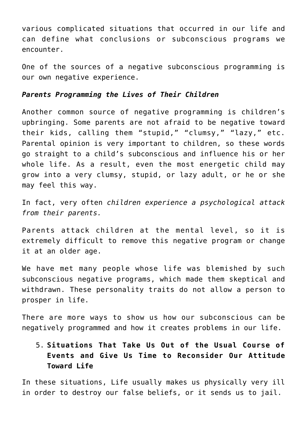various complicated situations that occurred in our life and can define what conclusions or subconscious programs we encounter.

One of the sources of a negative subconscious programming is our own negative experience.

## *Parents Programming the Lives of Their Children*

Another common source of negative programming is children's upbringing. Some parents are not afraid to be negative toward their kids, calling them "stupid," "clumsy," "lazy," etc. Parental opinion is very important to children, so these words go straight to a child's subconscious and influence his or her whole life. As a result, even the most energetic child may grow into a very clumsy, stupid, or lazy adult, or he or she may feel this way.

In fact, very often *children experience a psychological attack from their parents.*

Parents attack children at the mental level, so it is extremely difficult to remove this negative program or change it at an older age.

We have met many people whose life was blemished by such subconscious negative programs, which made them skeptical and withdrawn. These personality traits do not allow a person to prosper in life.

There are more ways to show us how our subconscious can be negatively programmed and how it creates problems in our life.

# 5. **Situations That Take Us Out of the Usual Course of Events and Give Us Time to Reconsider Our Attitude Toward Life**

In these situations, Life usually makes us physically very ill in order to destroy our false beliefs, or it sends us to jail.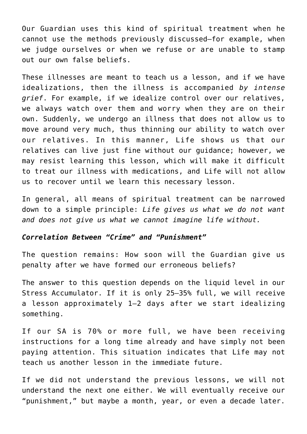Our Guardian uses this kind of spiritual treatment when he cannot use the methods previously discussed—for example, when we judge ourselves or when we refuse or are unable to stamp out our own false beliefs.

These illnesses are meant to teach us a lesson, and if we have idealizations, then the illness is accompanied *by intense grief*. For example, if we idealize control over our relatives, we always watch over them and worry when they are on their own. Suddenly, we undergo an illness that does not allow us to move around very much, thus thinning our ability to watch over our relatives. In this manner, Life shows us that our relatives can live just fine without our guidance; however, we may resist learning this lesson, which will make it difficult to treat our illness with medications, and Life will not allow us to recover until we learn this necessary lesson.

In general, all means of spiritual treatment can be narrowed down to a simple principle: *Life gives us what we do not want and does not give us what we cannot imagine life without.*

### *Correlation Between "Crime" and "Punishment"*

The question remains: How soon will the Guardian give us penalty after we have formed our erroneous beliefs?

The answer to this question depends on the liquid level in our Stress Accumulator. If it is only 25–35% full, we will receive a lesson approximately 1–2 days after we start idealizing something.

If our SA is 70% or more full, we have been receiving instructions for a long time already and have simply not been paying attention. This situation indicates that Life may not teach us another lesson in the immediate future.

If we did not understand the previous lessons, we will not understand the next one either. We will eventually receive our "punishment," but maybe a month, year, or even a decade later.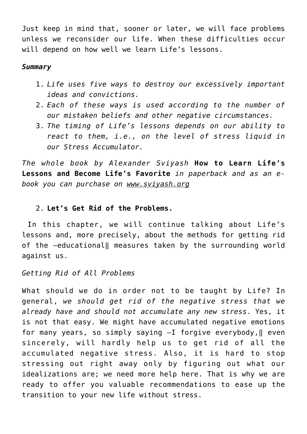Just keep in mind that, sooner or later, we will face problems unless we reconsider our life. When these difficulties occur will depend on how well we learn Life's lessons.

## *Summary*

- 1. *Life uses five ways to destroy our excessively important ideas and convictions.*
- 2. *Each of these ways is used according to the number of our mistaken beliefs and other negative circumstances.*
- 3. *The timing of Life's lessons depends on our ability to react to them, i.e., on the level of stress liquid in our Stress Accumulator.*

*The whole book by Alexander Sviyash* **How to Learn Life's Lessons and Become Life's Favorite** *in paperback and as an ebook you can purchase on www.sviyash.org*

## 2. **Let's Get Rid of the Problems.**

 In this chapter, we will continue talking about Life's lessons and, more precisely, about the methods for getting rid of the ―educational‖ measures taken by the surrounding world against us.

## *Getting Rid of All Problems*

What should we do in order not to be taught by Life? In general, *we should get rid of the negative stress that we already have and should not accumulate any new stress*. Yes, it is not that easy. We might have accumulated negative emotions for many years, so simply saying ―I forgive everybody,‖ even sincerely, will hardly help us to get rid of all the accumulated negative stress. Also, it is hard to stop stressing out right away only by figuring out what our idealizations are; we need more help here. That is why we are ready to offer you valuable recommendations to ease up the transition to your new life without stress.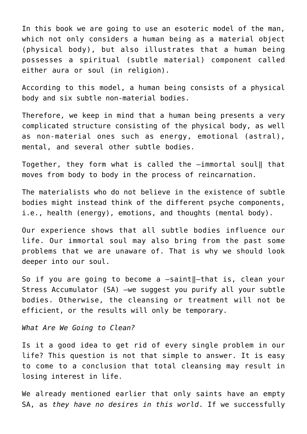In this book we are going to use an esoteric model of the man, which not only considers a human being as a material object (physical body), but also illustrates that a human being possesses a spiritual (subtle material) component called either aura or soul (in religion).

According to this model, a human being consists of a physical body and six subtle non-material bodies.

Therefore, we keep in mind that a human being presents a very complicated structure consisting of the physical body, as well as non-material ones such as energy, emotional (astral), mental, and several other subtle bodies.

Together, they form what is called the ―immortal soul‖ that moves from body to body in the process of reincarnation.

The materialists who do not believe in the existence of subtle bodies might instead think of the different psyche components, i.e., health (energy), emotions, and thoughts (mental body).

Our experience shows that all subtle bodies influence our life. Our immortal soul may also bring from the past some problems that we are unaware of. That is why we should look deeper into our soul.

So if you are going to become a ―saint‖—that is, clean your Stress Accumulator (SA) —we suggest you purify all your subtle bodies. Otherwise, the cleansing or treatment will not be efficient, or the results will only be temporary.

### *What Are We Going to Clean?*

Is it a good idea to get rid of every single problem in our life? This question is not that simple to answer. It is easy to come to a conclusion that total cleansing may result in losing interest in life.

We already mentioned earlier that only saints have an empty SA, as *they have no desires in this world*. If we successfully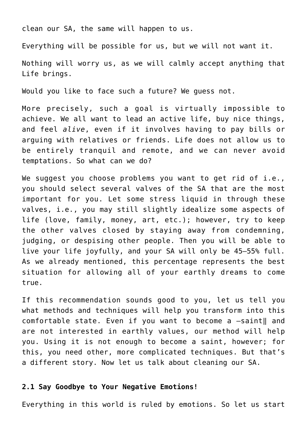clean our SA, the same will happen to us.

Everything will be possible for us, but we will not want it.

Nothing will worry us, as we will calmly accept anything that Life brings.

Would you like to face such a future? We guess not.

More precisely, such a goal is virtually impossible to achieve. We all want to lead an active life, buy nice things, and feel *alive*, even if it involves having to pay bills or arguing with relatives or friends. Life does not allow us to be entirely tranquil and remote, and we can never avoid temptations. So what can we do?

We suggest you choose problems you want to get rid of i.e., you should select several valves of the SA that are the most important for you. Let some stress liquid in through these valves, i.e., you may still slightly idealize some aspects of life (love, family, money, art, etc.); however, try to keep the other valves closed by staying away from condemning, judging, or despising other people. Then you will be able to live your life joyfully, and your SA will only be 45–55% full. As we already mentioned, this percentage represents the best situation for allowing all of your earthly dreams to come true.

If this recommendation sounds good to you, let us tell you what methods and techniques will help you transform into this comfortable state. Even if you want to become a ―saint‖ and are not interested in earthly values, our method will help you. Using it is not enough to become a saint, however; for this, you need other, more complicated techniques. But that's a different story. Now let us talk about cleaning our SA.

## **2.1 Say Goodbye to Your Negative Emotions!**

Everything in this world is ruled by emotions. So let us start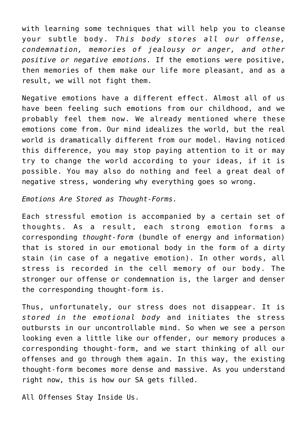with learning some techniques that will help you to cleanse your subtle body. *This body stores all our offense, condemnation, memories of jealousy or anger, and other positive or negative emotions.* If the emotions were positive, then memories of them make our life more pleasant, and as a result, we will not fight them.

Negative emotions have a different effect. Almost all of us have been feeling such emotions from our childhood, and we probably feel them now. We already mentioned where these emotions come from. Our mind idealizes the world, but the real world is dramatically different from our model. Having noticed this difference, you may stop paying attention to it or may try to change the world according to your ideas, if it is possible. You may also do nothing and feel a great deal of negative stress, wondering why everything goes so wrong.

*Emotions Are Stored as Thought-Forms.*

Each stressful emotion is accompanied by a certain set of thoughts. As a result, each strong emotion forms a corresponding *thought-form* (bundle of energy and information) that is stored in our emotional body in the form of a dirty stain (in case of a negative emotion). In other words, all stress is recorded in the cell memory of our body. The stronger our offense or condemnation is, the larger and denser the corresponding thought-form is.

Thus, unfortunately, our stress does not disappear. It is *stored in the emotional body* and initiates the stress outbursts in our uncontrollable mind. So when we see a person looking even a little like our offender, our memory produces a corresponding thought-form, and we start thinking of all our offenses and go through them again. In this way, the existing thought-form becomes more dense and massive. As you understand right now, this is how our SA gets filled.

All Offenses Stay Inside Us.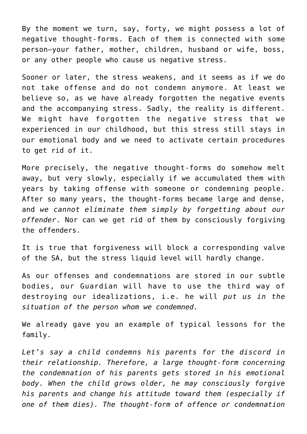By the moment we turn, say, forty, we might possess a lot of negative thought-forms. Each of them is connected with some person—your father, mother, children, husband or wife, boss, or any other people who cause us negative stress.

Sooner or later, the stress weakens, and it seems as if we do not take offense and do not condemn anymore. At least we believe so, as we have already forgotten the negative events and the accompanying stress. Sadly, the reality is different. We might have forgotten the negative stress that we experienced in our childhood, but this stress still stays in our emotional body and we need to activate certain procedures to get rid of it.

More precisely, the negative thought-forms do somehow melt away, but very slowly, especially if we accumulated them with years by taking offense with someone or condemning people. After so many years, the thought-forms became large and dense, and *we cannot eliminate them simply by forgetting about our offender*. Nor can we get rid of them by consciously forgiving the offenders.

It is true that forgiveness will block a corresponding valve of the SA, but the stress liquid level will hardly change.

As our offenses and condemnations are stored in our subtle bodies, our Guardian will have to use the third way of destroying our idealizations, i.e. he will *put us in the situation of the person whom we condemned.*

We already gave you an example of typical lessons for the family.

*Let's say a child condemns his parents for the discord in their relationship. Therefore, a large thought-form concerning the condemnation of his parents gets stored in his emotional body. When the child grows older, he may consciously forgive his parents and change his attitude toward them (especially if one of them dies). The thought-form of offence or condemnation*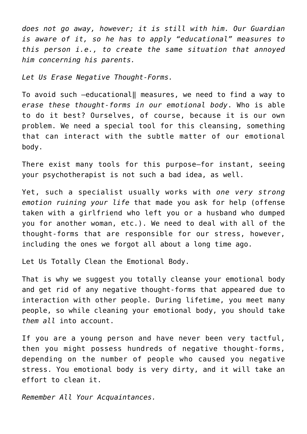*does not go away, however; it is still with him. Our Guardian is aware of it, so he has to apply "educational" measures to this person i.e., to create the same situation that annoyed him concerning his parents.*

*Let Us Erase Negative Thought-Forms.*

To avoid such ―educational‖ measures, we need to find a way to *erase these thought-forms in our emotional body*. Who is able to do it best? Ourselves, of course, because it is our own problem. We need a special tool for this cleansing, something that can interact with the subtle matter of our emotional body.

There exist many tools for this purpose—for instant, seeing your psychotherapist is not such a bad idea, as well.

Yet, such a specialist usually works with *one very strong emotion ruining your life* that made you ask for help (offense taken with a girlfriend who left you or a husband who dumped you for another woman, etc.). We need to deal with all of the thought-forms that are responsible for our stress, however, including the ones we forgot all about a long time ago.

Let Us Totally Clean the Emotional Body.

That is why we suggest you totally cleanse your emotional body and get rid of any negative thought-forms that appeared due to interaction with other people. During lifetime, you meet many people, so while cleaning your emotional body, you should take *them all* into account.

If you are a young person and have never been very tactful, then you might possess hundreds of negative thought-forms, depending on the number of people who caused you negative stress. You emotional body is very dirty, and it will take an effort to clean it.

*Remember All Your Acquaintances.*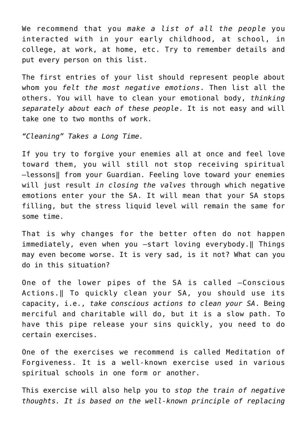We recommend that you *make a list of all the people* you interacted with in your early childhood, at school, in college, at work, at home, etc. Try to remember details and put every person on this list.

The first entries of your list should represent people about whom you *felt the most negative emotions*. Then list all the others. You will have to clean your emotional body, *thinking separately about each of these people*. It is not easy and will take one to two months of work.

*"Cleaning" Takes a Long Time.*

If you try to forgive your enemies all at once and feel love toward them, you will still not stop receiving spiritual ―lessons‖ from your Guardian. Feeling love toward your enemies will just result *in closing the valves* through which negative emotions enter your the SA. It will mean that your SA stops filling, but the stress liquid level will remain the same for some time.

That is why changes for the better often do not happen immediately, even when you ―start loving everybody.‖ Things may even become worse. It is very sad, is it not? What can you do in this situation?

One of the lower pipes of the SA is called ―Conscious Actions.‖ To quickly clean your SA, you should use its capacity, i.e., *take conscious actions to clean your SA*. Being merciful and charitable will do, but it is a slow path. To have this pipe release your sins quickly, you need to do certain exercises.

One of the exercises we recommend is called Meditation of Forgiveness. It is a well-known exercise used in various spiritual schools in one form or another.

This exercise will also help you to *stop the train of negative thoughts. It is based on the well-known principle of replacing*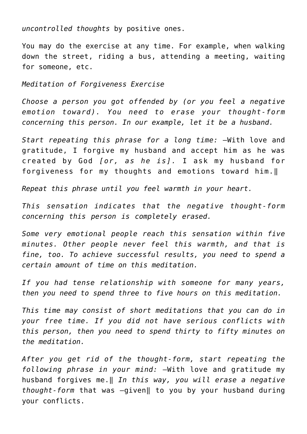*uncontrolled thoughts* by positive ones.

You may do the exercise at any time. For example, when walking down the street, riding a bus, attending a meeting, waiting for someone, etc.

*Meditation of Forgiveness Exercise*

*Choose a person you got offended by (or you feel a negative emotion toward). You need to erase your thought-form concerning this person. In our example, let it be a husband.*

*Start repeating this phrase for a long time:* ―With love and gratitude, I forgive my husband and accept him as he was created by God *[or, as he is].* I ask my husband for forgiveness for my thoughts and emotions toward him.‖

*Repeat this phrase until you feel warmth in your heart.*

*This sensation indicates that the negative thought-form concerning this person is completely erased.*

*Some very emotional people reach this sensation within five minutes. Other people never feel this warmth, and that is fine, too. To achieve successful results, you need to spend a certain amount of time on this meditation.*

*If you had tense relationship with someone for many years, then you need to spend three to five hours on this meditation.*

*This time may consist of short meditations that you can do in your free time. If you did not have serious conflicts with this person, then you need to spend thirty to fifty minutes on the meditation.*

*After you get rid of the thought-form, start repeating the following phrase in your mind:* ―With love and gratitude my husband forgives me.‖ *In this way, you will erase a negative thought-form* that was ―given‖ to you by your husband during your conflicts.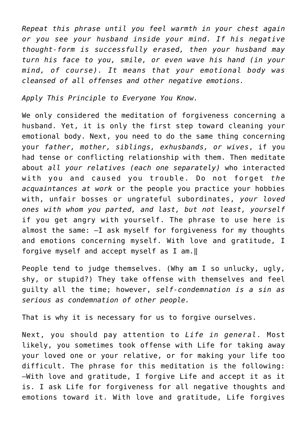*Repeat this phrase until you feel warmth in your chest again or you see your husband inside your mind. If his negative thought-form is successfully erased, then your husband may turn his face to you, smile, or even wave his hand (in your mind, of course). It means that your emotional body was cleansed of all offenses and other negative emotions.*

*Apply This Principle to Everyone You Know.*

We only considered the meditation of forgiveness concerning a husband. Yet, it is only the first step toward cleaning your emotional body. Next, you need to do the same thing concerning your *father, mother, siblings, exhusbands, or wives*, if you had tense or conflicting relationship with them. Then meditate about *all your relatives (each one separately)* who interacted with you and caused you trouble. Do not forget *the acquaintances at work* or the people you practice your hobbies with, unfair bosses or ungrateful subordinates, *your loved ones with whom you parted, and last, but not least, yourself* if you get angry with yourself. The phrase to use here is almost the same:  $-I$  ask myself for forgiveness for my thoughts and emotions concerning myself. With love and gratitude, I forgive myself and accept myself as I am.‖

People tend to judge themselves. (Why am I so unlucky, ugly, shy, or stupid?) They take offense with themselves and feel guilty all the time; however, *self-condemnation is a sin as serious as condemnation of other people.*

That is why it is necessary for us to forgive ourselves.

Next, you should pay attention to *Life in general*. Most likely, you sometimes took offense with Life for taking away your loved one or your relative, or for making your life too difficult. The phrase for this meditation is the following: ―With love and gratitude, I forgive Life and accept it as it is. I ask Life for forgiveness for all negative thoughts and emotions toward it. With love and gratitude, Life forgives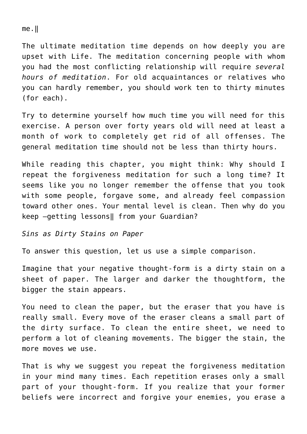$me.$ 

The ultimate meditation time depends on how deeply you are upset with Life. The meditation concerning people with whom you had the most conflicting relationship will require *several hours of meditation*. For old acquaintances or relatives who you can hardly remember, you should work ten to thirty minutes (for each).

Try to determine yourself how much time you will need for this exercise. A person over forty years old will need at least a month of work to completely get rid of all offenses. The general meditation time should not be less than thirty hours.

While reading this chapter, you might think: Why should I repeat the forgiveness meditation for such a long time? It seems like you no longer remember the offense that you took with some people, forgave some, and already feel compassion toward other ones. Your mental level is clean. Then why do you keep ―getting lessons‖ from your Guardian?

*Sins as Dirty Stains on Paper*

To answer this question, let us use a simple comparison.

Imagine that your negative thought-form is a dirty stain on a sheet of paper. The larger and darker the thoughtform, the bigger the stain appears.

You need to clean the paper, but the eraser that you have is really small. Every move of the eraser cleans a small part of the dirty surface. To clean the entire sheet, we need to perform a lot of cleaning movements. The bigger the stain, the more moves we use.

That is why we suggest you repeat the forgiveness meditation in your mind many times. Each repetition erases only a small part of your thought-form. If you realize that your former beliefs were incorrect and forgive your enemies, you erase a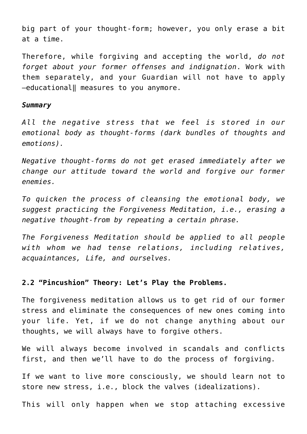big part of your thought-form; however, you only erase a bit at a time.

Therefore, while forgiving and accepting the world, *do not forget about your former offenses and indignation*. Work with them separately, and your Guardian will not have to apply ―educational‖ measures to you anymore.

#### *Summary*

*All the negative stress that we feel is stored in our emotional body as thought-forms (dark bundles of thoughts and emotions).*

*Negative thought-forms do not get erased immediately after we change our attitude toward the world and forgive our former enemies.*

*To quicken the process of cleansing the emotional body, we suggest practicing the Forgiveness Meditation, i.e., erasing a negative thought-from by repeating a certain phrase.*

*The Forgiveness Meditation should be applied to all people with whom we had tense relations, including relatives, acquaintances, Life, and ourselves.*

## **2.2 "Pincushion" Theory: Let's Play the Problems.**

The forgiveness meditation allows us to get rid of our former stress and eliminate the consequences of new ones coming into your life. Yet, if we do not change anything about our thoughts, we will always have to forgive others.

We will always become involved in scandals and conflicts first, and then we'll have to do the process of forgiving.

If we want to live more consciously, we should learn not to store new stress, i.e., block the valves (idealizations).

This will only happen when we stop attaching excessive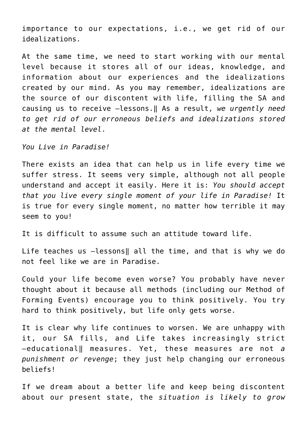importance to our expectations, i.e., we get rid of our idealizations.

At the same time, we need to start working with our mental level because it stores all of our ideas, knowledge, and information about our experiences and the idealizations created by our mind. As you may remember, idealizations are the source of our discontent with life, filling the SA and causing us to receive ―lessons.‖ As a result, *we urgently need to get rid of our erroneous beliefs and idealizations stored at the mental level*.

*You Live in Paradise!*

There exists an idea that can help us in life every time we suffer stress. It seems very simple, although not all people understand and accept it easily. Here it is: *You should accept that you live every single moment of your life in Paradise!* It is true for every single moment, no matter how terrible it may seem to you!

It is difficult to assume such an attitude toward life.

Life teaches us -lessons|| all the time, and that is why we do not feel like we are in Paradise.

Could your life become even worse? You probably have never thought about it because all methods (including our Method of Forming Events) encourage you to think positively. You try hard to think positively, but life only gets worse.

It is clear why life continues to worsen. We are unhappy with it, our SA fills, and Life takes increasingly strict ―educational‖ measures. Yet, these measures are not *a punishment or revenge*; they just help changing our erroneous beliefs!

If we dream about a better life and keep being discontent about our present state, the *situation is likely to grow*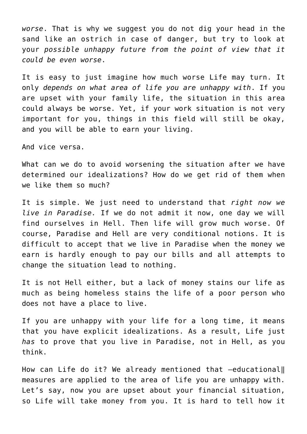*worse*. That is why we suggest you do not dig your head in the sand like an ostrich in case of danger, but try to look at your *possible unhappy future from the point of view that it could be even worse*.

It is easy to just imagine how much worse Life may turn. It only *depends on what area of life you are unhappy with*. If you are upset with your family life, the situation in this area could always be worse. Yet, if your work situation is not very important for you, things in this field will still be okay, and you will be able to earn your living.

And vice versa.

What can we do to avoid worsening the situation after we have determined our idealizations? How do we get rid of them when we like them so much?

It is simple. We just need to understand that *right now we live in Paradise.* If we do not admit it now, one day we will find ourselves in Hell. Then life will grow much worse. Of course, Paradise and Hell are very conditional notions. It is difficult to accept that we live in Paradise when the money we earn is hardly enough to pay our bills and all attempts to change the situation lead to nothing.

It is not Hell either, but a lack of money stains our life as much as being homeless stains the life of a poor person who does not have a place to live.

If you are unhappy with your life for a long time, it means that you have explicit idealizations. As a result, Life just *has* to prove that you live in Paradise, not in Hell, as you think.

How can Life do it? We already mentioned that ―educational‖ measures are applied to the area of life you are unhappy with. Let's say, now you are upset about your financial situation, so Life will take money from you. It is hard to tell how it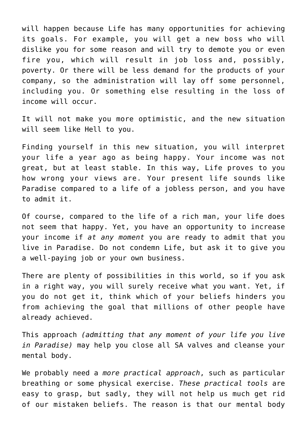will happen because Life has many opportunities for achieving its goals. For example, you will get a new boss who will dislike you for some reason and will try to demote you or even fire you, which will result in job loss and, possibly, poverty. Or there will be less demand for the products of your company, so the administration will lay off some personnel, including you. Or something else resulting in the loss of income will occur.

It will not make you more optimistic, and the new situation will seem like Hell to you.

Finding yourself in this new situation, you will interpret your life a year ago as being happy. Your income was not great, but at least stable. In this way, Life proves to you how wrong your views are. Your present life sounds like Paradise compared to a life of a jobless person, and you have to admit it.

Of course, compared to the life of a rich man, your life does not seem that happy. Yet, you have an opportunity to increase your income if *at any moment* you are ready to admit that you live in Paradise. Do not condemn Life, but ask it to give you a well-paying job or your own business.

There are plenty of possibilities in this world, so if you ask in a right way, you will surely receive what you want. Yet, if you do not get it, think which of your beliefs hinders you from achieving the goal that millions of other people have already achieved.

This approach *(admitting that any moment of your life you live in Paradise)* may help you close all SA valves and cleanse your mental body.

We probably need a *more practical approach*, such as particular breathing or some physical exercise. *These practical tools* are easy to grasp, but sadly, they will not help us much get rid of our mistaken beliefs. The reason is that our mental body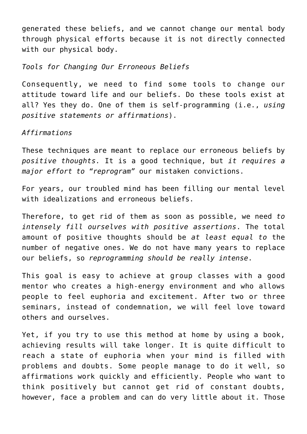generated these beliefs, and we cannot change our mental body through physical efforts because it is not directly connected with our physical body.

## *Tools for Changing Our Erroneous Beliefs*

Consequently, we need to find some tools to change our attitude toward life and our beliefs. Do these tools exist at all? Yes they do. One of them is self-programming (i.e., *using positive statements or affirmations*).

## *Affirmations*

These techniques are meant to replace our erroneous beliefs by *positive thoughts.* It is a good technique, but *it requires a major effort to "reprogram"* our mistaken convictions.

For years, our troubled mind has been filling our mental level with idealizations and erroneous beliefs.

Therefore, to get rid of them as soon as possible, we need *to intensely fill ourselves with positive assertions*. The total amount of positive thoughts should be *at least equal to* the number of negative ones. We do not have many years to replace our beliefs, so *reprogramming should be really intense*.

This goal is easy to achieve at group classes with a good mentor who creates a high-energy environment and who allows people to feel euphoria and excitement. After two or three seminars, instead of condemnation, we will feel love toward others and ourselves.

Yet, if you try to use this method at home by using a book, achieving results will take longer. It is quite difficult to reach a state of euphoria when your mind is filled with problems and doubts. Some people manage to do it well, so affirmations work quickly and efficiently. People who want to think positively but cannot get rid of constant doubts, however, face a problem and can do very little about it. Those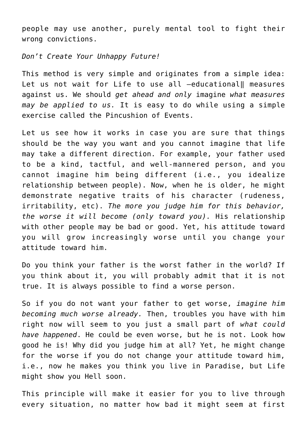people may use another, purely mental tool to fight their wrong convictions.

*Don't Create Your Unhappy Future!*

This method is very simple and originates from a simple idea: Let us not wait for Life to use all -educational| measures against us. We should *get ahead and only* imagine *what measures may be applied to us.* It is easy to do while using a simple exercise called the Pincushion of Events.

Let us see how it works in case you are sure that things should be the way you want and you cannot imagine that life may take a different direction. For example, your father used to be a kind, tactful, and well-mannered person, and you cannot imagine him being different (i.e., you idealize relationship between people). Now, when he is older, he might demonstrate negative traits of his character (rudeness, irritability, etc). *The more you judge him for this behavior, the worse it will become (only toward you).* His relationship with other people may be bad or good. Yet, his attitude toward you will grow increasingly worse until you change your attitude toward him.

Do you think your father is the worst father in the world? If you think about it, you will probably admit that it is not true. It is always possible to find a worse person.

So if you do not want your father to get worse, *imagine him becoming much worse already.* Then, troubles you have with him right now will seem to you just a small part of *what could have happened*. He could be even worse, but he is not. Look how good he is! Why did you judge him at all? Yet, he might change for the worse if you do not change your attitude toward him, i.e., now he makes you think you live in Paradise, but Life might show you Hell soon.

This principle will make it easier for you to live through every situation, no matter how bad it might seem at first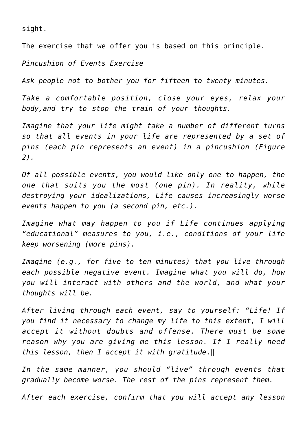sight.

The exercise that we offer you is based on this principle.

*Pincushion of Events Exercise*

*Ask people not to bother you for fifteen to twenty minutes.*

*Take a comfortable position, close your eyes, relax your body,and try to stop the train of your thoughts.*

*Imagine that your life might take a number of different turns so that all events in your life are represented by a set of pins (each pin represents an event) in a pincushion (Figure 2).*

*Of all possible events, you would like only one to happen, the one that suits you the most (one pin). In reality, while destroying your idealizations, Life causes increasingly worse events happen to you (a second pin, etc.).*

*Imagine what may happen to you if Life continues applying "educational" measures to you, i.e., conditions of your life keep worsening (more pins).*

*Imagine (e.g., for five to ten minutes) that you live through each possible negative event. Imagine what you will do, how you will interact with others and the world, and what your thoughts will be.*

*After living through each event, say to yourself: "Life! If you find it necessary to change my life to this extent, I will accept it without doubts and offense. There must be some reason why you are giving me this lesson. If I really need this lesson, then I accept it with gratitude*.‖

*In the same manner, you should "live" through events that gradually become worse. The rest of the pins represent them.*

*After each exercise, confirm that you will accept any lesson*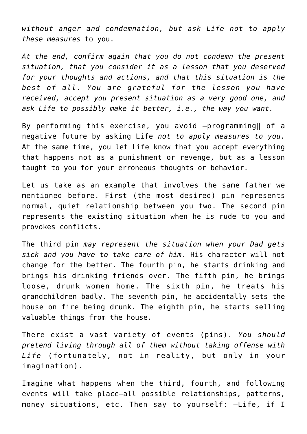*without anger and condemnation, but ask Life not to apply these measures* to you.

*At the end, confirm again that you do not condemn the present situation, that you consider it as a lesson that you deserved for your thoughts and actions, and that this situation is the best of all. You are grateful for the lesson you have received, accept you present situation as a very good one, and ask Life to possibly make it better, i.e., the way you want.*

By performing this exercise, you avoid ―programming‖ of a negative future by asking Life *not to apply measures to you.* At the same time, you let Life know that you accept everything that happens not as a punishment or revenge, but as a lesson taught to you for your erroneous thoughts or behavior.

Let us take as an example that involves the same father we mentioned before. First (the most desired) pin represents normal, quiet relationship between you two. The second pin represents the existing situation when he is rude to you and provokes conflicts.

The third pin *may represent the situation when your Dad gets sick and you have to take care of him*. His character will not change for the better. The fourth pin, he starts drinking and brings his drinking friends over. The fifth pin, he brings loose, drunk women home. The sixth pin, he treats his grandchildren badly. The seventh pin, he accidentally sets the house on fire being drunk. The eighth pin, he starts selling valuable things from the house.

There exist a vast variety of events (pins). *You should pretend living through all of them without taking offense with Life* (fortunately, not in reality, but only in your imagination).

Imagine what happens when the third, fourth, and following events will take place—all possible relationships, patterns, money situations, etc. Then say to yourself: ―Life, if I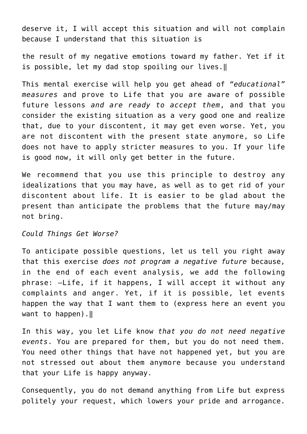deserve it, I will accept this situation and will not complain because I understand that this situation is

the result of my negative emotions toward my father. Yet if it is possible, let my dad stop spoiling our lives.‖

This mental exercise will help you get ahead of *"educational" measures* and prove to Life that you are aware of possible future lessons *and are ready to accept them*, and that you consider the existing situation as a very good one and realize that, due to your discontent, it may get even worse. Yet, you are not discontent with the present state anymore, so Life does not have to apply stricter measures to you. If your life is good now, it will only get better in the future.

We recommend that you use this principle to destroy any idealizations that you may have, as well as to get rid of your discontent about life. It is easier to be glad about the present than anticipate the problems that the future may/may not bring.

### *Could Things Get Worse?*

To anticipate possible questions, let us tell you right away that this exercise *does not program a negative future* because, in the end of each event analysis, we add the following phrase: ―Life, if it happens, I will accept it without any complaints and anger. Yet, if it is possible, let events happen the way that I want them to (express here an event you want to happen).‖

In this way, you let Life know *that you do not need negative events*. You are prepared for them, but you do not need them. You need other things that have not happened yet, but you are not stressed out about them anymore because you understand that your Life is happy anyway.

Consequently, you do not demand anything from Life but express politely your request, which lowers your pride and arrogance.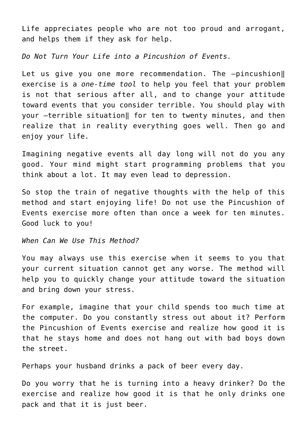Life appreciates people who are not too proud and arrogant, and helps them if they ask for help.

*Do Not Turn Your Life into a Pincushion of Events.*

Let us give you one more recommendation. The -pincushion exercise is a *one-time tool* to help you feel that your problem is not that serious after all, and to change your attitude toward events that you consider terrible. You should play with your ―terrible situation‖ for ten to twenty minutes, and then realize that in reality everything goes well. Then go and enjoy your life.

Imagining negative events all day long will not do you any good. Your mind might start programming problems that you think about a lot. It may even lead to depression.

So stop the train of negative thoughts with the help of this method and start enjoying life! Do not use the Pincushion of Events exercise more often than once a week for ten minutes. Good luck to you!

### *When Can We Use This Method?*

You may always use this exercise when it seems to you that your current situation cannot get any worse. The method will help you to quickly change your attitude toward the situation and bring down your stress.

For example, imagine that your child spends too much time at the computer. Do you constantly stress out about it? Perform the Pincushion of Events exercise and realize how good it is that he stays home and does not hang out with bad boys down the street.

Perhaps your husband drinks a pack of beer every day.

Do you worry that he is turning into a heavy drinker? Do the exercise and realize how good it is that he only drinks one pack and that it is just beer.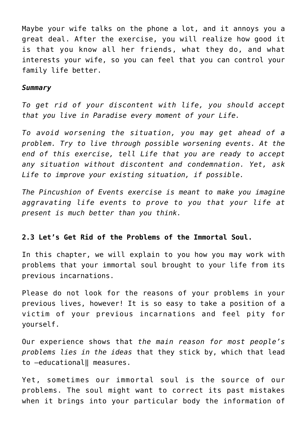Maybe your wife talks on the phone a lot, and it annoys you a great deal. After the exercise, you will realize how good it is that you know all her friends, what they do, and what interests your wife, so you can feel that you can control your family life better.

### *Summary*

*To get rid of your discontent with life, you should accept that you live in Paradise every moment of your Life.*

*To avoid worsening the situation, you may get ahead of a problem. Try to live through possible worsening events. At the end of this exercise, tell Life that you are ready to accept any situation without discontent and condemnation. Yet, ask Life to improve your existing situation, if possible.*

*The Pincushion of Events exercise is meant to make you imagine aggravating life events to prove to you that your life at present is much better than you think.*

## **2.3 Let's Get Rid of the Problems of the Immortal Soul.**

In this chapter, we will explain to you how you may work with problems that your immortal soul brought to your life from its previous incarnations.

Please do not look for the reasons of your problems in your previous lives, however! It is so easy to take a position of a victim of your previous incarnations and feel pity for yourself.

Our experience shows that *the main reason for most people's problems lies in the ideas* that they stick by, which that lead to ―educational‖ measures.

Yet, sometimes our immortal soul is the source of our problems. The soul might want to correct its past mistakes when it brings into your particular body the information of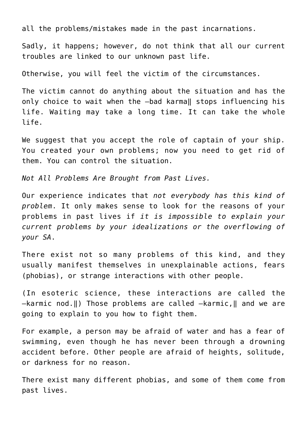all the problems/mistakes made in the past incarnations.

Sadly, it happens; however, do not think that all our current troubles are linked to our unknown past life.

Otherwise, you will feel the victim of the circumstances.

The victim cannot do anything about the situation and has the only choice to wait when the ―bad karma‖ stops influencing his life. Waiting may take a long time. It can take the whole life.

We suggest that you accept the role of captain of your ship. You created your own problems; now you need to get rid of them. You can control the situation.

*Not All Problems Are Brought from Past Lives.*

Our experience indicates that *not everybody has this kind of problem*. It only makes sense to look for the reasons of your problems in past lives if *it is impossible to explain your current problems by your idealizations or the overflowing of your SA*.

There exist not so many problems of this kind, and they usually manifest themselves in unexplainable actions, fears (phobias), or strange interactions with other people.

(In esoteric science, these interactions are called the ―karmic nod.‖) Those problems are called ―karmic,‖ and we are going to explain to you how to fight them.

For example, a person may be afraid of water and has a fear of swimming, even though he has never been through a drowning accident before. Other people are afraid of heights, solitude, or darkness for no reason.

There exist many different phobias, and some of them come from past lives.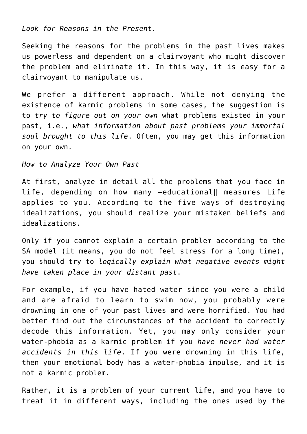*Look for Reasons in the Present.*

Seeking the reasons for the problems in the past lives makes us powerless and dependent on a clairvoyant who might discover the problem and eliminate it. In this way, it is easy for a clairvoyant to manipulate us.

We prefer a different approach. While not denying the existence of karmic problems in some cases, the suggestion is to *try to figure out on your own* what problems existed in your past, i.e., *what information about past problems your immortal soul brought to this life*. Often, you may get this information on your own.

#### *How to Analyze Your Own Past*

At first, analyze in detail all the problems that you face in life, depending on how many ―educational‖ measures Life applies to you. According to the five ways of destroying idealizations, you should realize your mistaken beliefs and idealizations.

Only if you cannot explain a certain problem according to the SA model (it means, you do not feel stress for a long time), you should try to *logically explain what negative events might have taken place in your distant past*.

For example, if you have hated water since you were a child and are afraid to learn to swim now, you probably were drowning in one of your past lives and were horrified. You had better find out the circumstances of the accident to correctly decode this information. Yet, you may only consider your water-phobia as a karmic problem if you *have never had water accidents in this life*. If you were drowning in this life, then your emotional body has a water-phobia impulse, and it is not a karmic problem.

Rather, it is a problem of your current life, and you have to treat it in different ways, including the ones used by the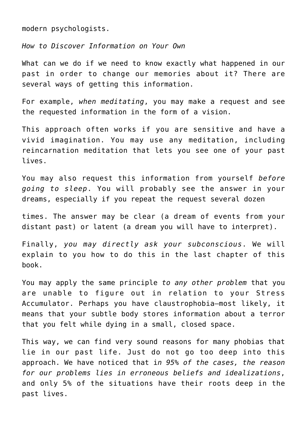modern psychologists.

*How to Discover Information on Your Own*

What can we do if we need to know exactly what happened in our past in order to change our memories about it? There are several ways of getting this information.

For example, *when meditating*, you may make a request and see the requested information in the form of a vision.

This approach often works if you are sensitive and have a vivid imagination. You may use any meditation, including reincarnation meditation that lets you see one of your past lives.

You may also request this information from yourself *before going to sleep*. You will probably see the answer in your dreams, especially if you repeat the request several dozen

times. The answer may be clear (a dream of events from your distant past) or latent (a dream you will have to interpret).

Finally, *you may directly ask your subconscious*. We will explain to you how to do this in the last chapter of this book.

You may apply the same principle *to any other problem* that you are unable to figure out in relation to your Stress Accumulator. Perhaps you have claustrophobia—most likely, it means that your subtle body stores information about a terror that you felt while dying in a small, closed space.

This way, we can find very sound reasons for many phobias that lie in our past life. Just do not go too deep into this approach. We have noticed that i*n 95% of the cases, the reason for our problems lies in erroneous beliefs and idealizations*, and only 5% of the situations have their roots deep in the past lives.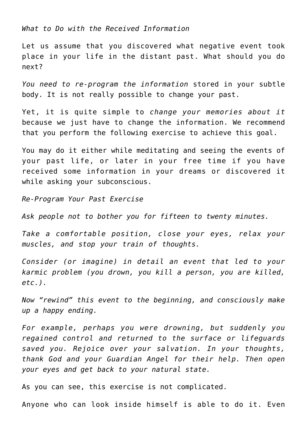*What to Do with the Received Information*

Let us assume that you discovered what negative event took place in your life in the distant past. What should you do next?

*You need to re-program the information* stored in your subtle body. It is not really possible to change your past.

Yet, it is quite simple to *change your memories about it* because we just have to change the information. We recommend that you perform the following exercise to achieve this goal.

You may do it either while meditating and seeing the events of your past life, or later in your free time if you have received some information in your dreams or discovered it while asking your subconscious.

*Re-Program Your Past Exercise*

*Ask people not to bother you for fifteen to twenty minutes.*

*Take a comfortable position, close your eyes, relax your muscles, and stop your train of thoughts.*

*Consider (or imagine) in detail an event that led to your karmic problem (you drown, you kill a person, you are killed, etc.).*

*Now "rewind" this event to the beginning, and consciously make up a happy ending.*

*For example, perhaps you were drowning, but suddenly you regained control and returned to the surface or lifeguards saved you. Rejoice over your salvation. In your thoughts, thank God and your Guardian Angel for their help. Then open your eyes and get back to your natural state.*

As you can see, this exercise is not complicated.

Anyone who can look inside himself is able to do it. Even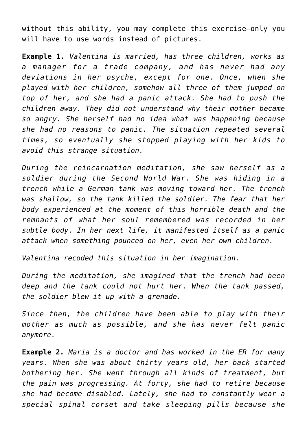without this ability, you may complete this exercise—only you will have to use words instead of pictures.

**Example 1.** *Valentina is married, has three children, works as a manager for a trade company, and has never had any deviations in her psyche, except for one. Once, when she played with her children, somehow all three of them jumped on top of her, and she had a panic attack. She had to push the children away. They did not understand why their mother became so angry. She herself had no idea what was happening because she had no reasons to panic. The situation repeated several times, so eventually she stopped playing with her kids to avoid this strange situation.*

*During the reincarnation meditation, she saw herself as a soldier during the Second World War. She was hiding in a trench while a German tank was moving toward her. The trench was shallow, so the tank killed the soldier. The fear that her body experienced at the moment of this horrible death and the remnants of what her soul remembered was recorded in her subtle body. In her next life, it manifested itself as a panic attack when something pounced on her, even her own children.*

*Valentina recoded this situation in her imagination.*

*During the meditation, she imagined that the trench had been deep and the tank could not hurt her. When the tank passed, the soldier blew it up with a grenade.*

*Since then, the children have been able to play with their mother as much as possible, and she has never felt panic anymore.*

**Example 2***. Maria is a doctor and has worked in the ER for many years. When she was about thirty years old, her back started bothering her. She went through all kinds of treatment, but the pain was progressing. At forty, she had to retire because she had become disabled. Lately, she had to constantly wear a special spinal corset and take sleeping pills because she*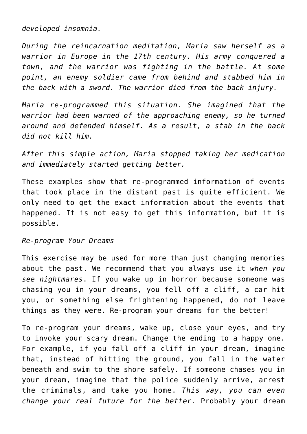*developed insomnia.*

*During the reincarnation meditation, Maria saw herself as a warrior in Europe in the 17th century. His army conquered a town, and the warrior was fighting in the battle. At some point, an enemy soldier came from behind and stabbed him in the back with a sword. The warrior died from the back injury.*

*Maria re-programmed this situation. She imagined that the warrior had been warned of the approaching enemy, so he turned around and defended himself. As a result, a stab in the back did not kill him.*

*After this simple action, Maria stopped taking her medication and immediately started getting better.*

These examples show that re-programmed information of events that took place in the distant past is quite efficient. We only need to get the exact information about the events that happened. It is not easy to get this information, but it is possible.

### *Re-program Your Dreams*

This exercise may be used for more than just changing memories about the past. We recommend that you always use it *when you see nightmares*. If you wake up in horror because someone was chasing you in your dreams, you fell off a cliff, a car hit you, or something else frightening happened, do not leave things as they were. Re-program your dreams for the better!

To re-program your dreams, wake up, close your eyes, and try to invoke your scary dream. Change the ending to a happy one. For example, if you fall off a cliff in your dream, imagine that, instead of hitting the ground, you fall in the water beneath and swim to the shore safely. If someone chases you in your dream, imagine that the police suddenly arrive, arrest the criminals, and take you home. *This way, you can even change your real future for the better.* Probably your dream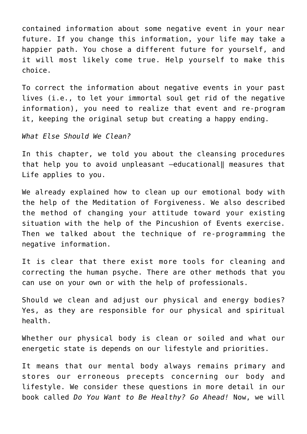contained information about some negative event in your near future. If you change this information, your life may take a happier path. You chose a different future for yourself, and it will most likely come true. Help yourself to make this choice.

To correct the information about negative events in your past lives (i.e., to let your immortal soul get rid of the negative information), you need to realize that event and re-program it, keeping the original setup but creating a happy ending.

*What Else Should We Clean?*

In this chapter, we told you about the cleansing procedures that help you to avoid unpleasant ―educational‖ measures that Life applies to you.

We already explained how to clean up our emotional body with the help of the Meditation of Forgiveness. We also described the method of changing your attitude toward your existing situation with the help of the Pincushion of Events exercise. Then we talked about the technique of re-programming the negative information.

It is clear that there exist more tools for cleaning and correcting the human psyche. There are other methods that you can use on your own or with the help of professionals.

Should we clean and adjust our physical and energy bodies? Yes, as they are responsible for our physical and spiritual health.

Whether our physical body is clean or soiled and what our energetic state is depends on our lifestyle and priorities.

It means that our mental body always remains primary and stores our erroneous precepts concerning our body and lifestyle. We consider these questions in more detail in our book called *Do You Want to Be Healthy? Go Ahead!* Now, we will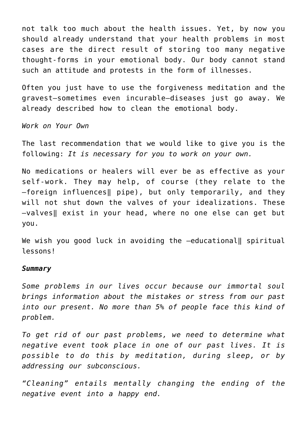not talk too much about the health issues. Yet, by now you should already understand that your health problems in most cases are the direct result of storing too many negative thought-forms in your emotional body. Our body cannot stand such an attitude and protests in the form of illnesses.

Often you just have to use the forgiveness meditation and the gravest—sometimes even incurable—diseases just go away. We already described how to clean the emotional body.

*Work on Your Own*

The last recommendation that we would like to give you is the following: *It is necessary for you to work on your own.*

No medications or healers will ever be as effective as your self-work. They may help, of course (they relate to the ―foreign influences‖ pipe), but only temporarily, and they will not shut down the valves of your idealizations. These ―valves‖ exist in your head, where no one else can get but you.

We wish you good luck in avoiding the -educational| spiritual lessons!

## *Summary*

*Some problems in our lives occur because our immortal soul brings information about the mistakes or stress from our past into our present. No more than 5% of people face this kind of problem.*

*To get rid of our past problems, we need to determine what negative event took place in one of our past lives. It is possible to do this by meditation, during sleep, or by addressing our subconscious.*

*"Cleaning" entails mentally changing the ending of the negative event into a happy end.*